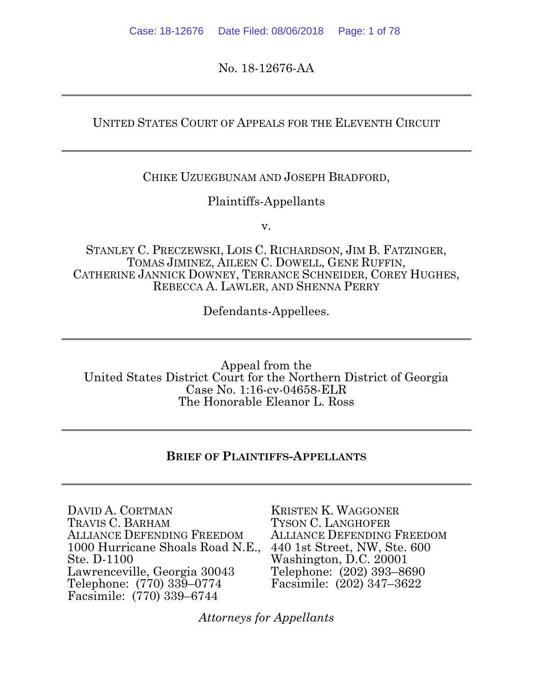No. 18-12676-AA

### UNITED STATES COURT OF APPEALS FOR THE ELEVENTH CIRCUIT

#### CHIKE UZUEGBUNAM AND JOSEPH BRADFORD,

#### Plaintiffs-Appellants

v.

STANLEY C. PRECZEWSKI, LOIS C. RICHARDSON, JIM B. FATZINGER, TOMAS JIMINEZ, AILEEN C. DOWELL, GENE RUFFIN, CATHERINE JANNICK DOWNEY, TERRANCE SCHNEIDER, COREY HUGHES, REBECCA A. LAWLER, AND SHENNA PERRY

Defendants-Appellees.

Appeal from the United States District Court for the Northern District of Georgia Case No. 1:16-cv-04658-ELR The Honorable Eleanor L. Ross

#### **BRIEF OF PLAINTIFFS-APPELLANTS**

DAVID A. CORTMAN TRAVIS C. BARHAM ALLIANCE DEFENDING FREEDOM 1000 Hurricane Shoals Road N.E., Ste. D-1100 Lawrenceville, Georgia 30043 Telephone: (770) 339–0774 Facsimile: (770) 339–6744

KRISTEN K. WAGGONER TYSON C. LANGHOFER ALLIANCE DEFENDING FREEDOM 440 1st Street, NW, Ste. 600 Washington, D.C. 20001 Telephone: (202) 393–8690 Facsimile: (202) 347–3622

*Attorneys for Appellants*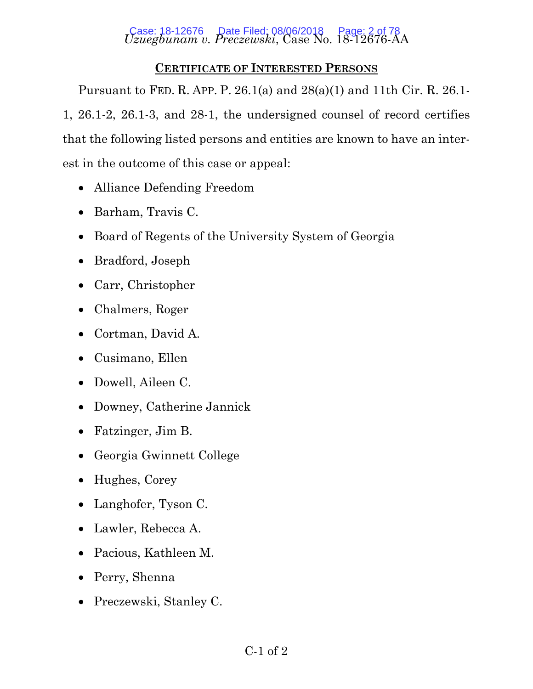# *Uzuegbunam v. Preczewski*, Case No. 18-12676-AA Case: 18-12676 Date Filed: 08/06/2018 Page: 2 of 78

# **CERTIFICATE OF INTERESTED PERSONS**

Pursuant to FED. R. APP. P. 26.1(a) and 28(a)(1) and 11th Cir. R. 26.1- 1, 26.1-2, 26.1-3, and 28-1, the undersigned counsel of record certifies that the following listed persons and entities are known to have an interest in the outcome of this case or appeal:

- Alliance Defending Freedom
- Barham, Travis C.
- Board of Regents of the University System of Georgia
- Bradford, Joseph
- Carr, Christopher
- Chalmers, Roger
- Cortman, David A.
- Cusimano, Ellen
- Dowell, Aileen C.
- Downey, Catherine Jannick
- Fatzinger, Jim B.
- Georgia Gwinnett College
- Hughes, Corey
- Langhofer, Tyson C.
- Lawler, Rebecca A.
- Pacious, Kathleen M.
- Perry, Shenna
- Preczewski, Stanley C.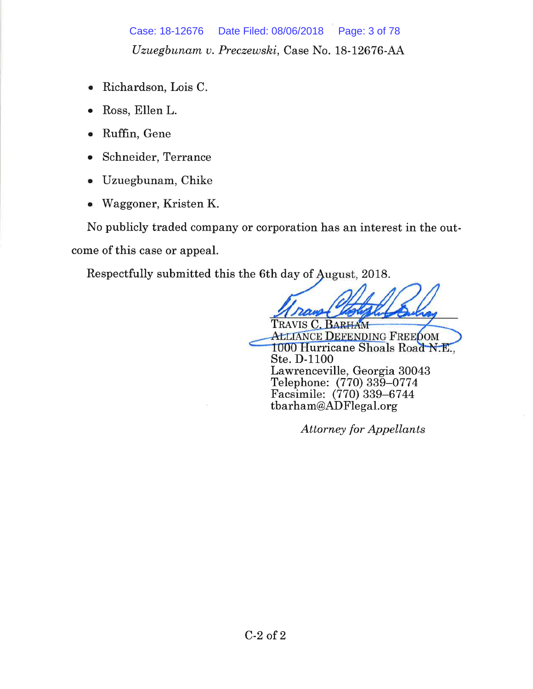Case: 18-12676 Date Filed: 08/06/2018 Page: 3 of 78 Uzuegbunam v. Preczewski, Case No. 18-12676-AA

- Richardson, Lois C.  $\bullet$
- Ross, Ellen L.
- Ruffin, Gene
- Schneider, Terrance
- Uzuegbunam, Chike
- Waggoner, Kristen K.  $\bullet$

No publicly traded company or corporation has an interest in the outcome of this case or appeal.

Respectfully submitted this the 6th day of August, 2018.

TRAVIS C. BARHAM **ALLIANCE DEFENDING FREEDOM** 1000 Hurricane Shoals Road N.E., Ste. D-1100 Lawrenceville, Georgia 30043 Telephone: (770) 339-0774 Facsimile: (770) 339-6744 tbarham@ADFlegal.org

**Attorney for Appellants**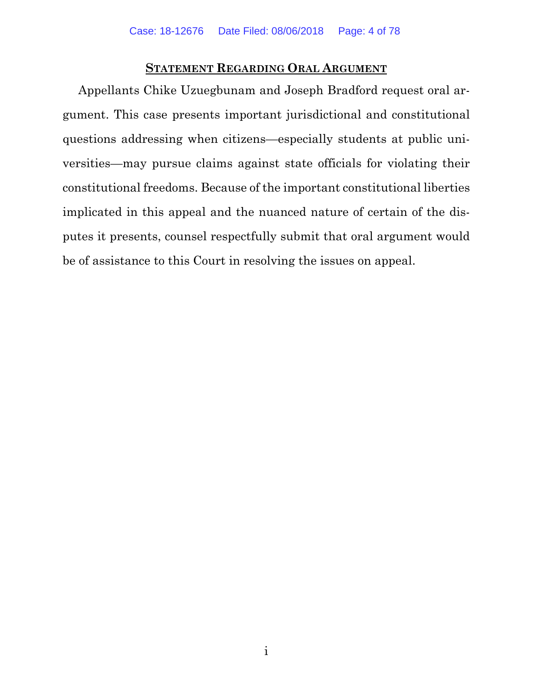#### **STATEMENT REGARDING ORAL ARGUMENT**

Appellants Chike Uzuegbunam and Joseph Bradford request oral argument. This case presents important jurisdictional and constitutional questions addressing when citizens—especially students at public universities—may pursue claims against state officials for violating their constitutional freedoms. Because of the important constitutional liberties implicated in this appeal and the nuanced nature of certain of the disputes it presents, counsel respectfully submit that oral argument would be of assistance to this Court in resolving the issues on appeal.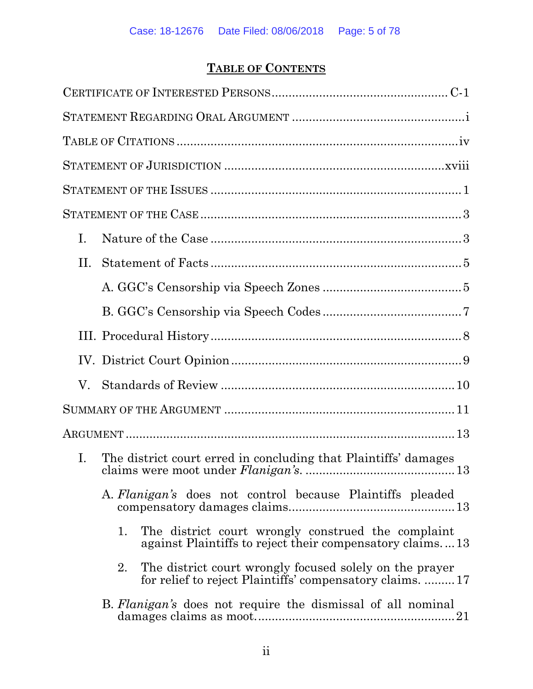# **TABLE OF CONTENTS**

| Ι. |                                                                                                                           |
|----|---------------------------------------------------------------------------------------------------------------------------|
| П. |                                                                                                                           |
|    |                                                                                                                           |
|    |                                                                                                                           |
|    |                                                                                                                           |
|    |                                                                                                                           |
| V. |                                                                                                                           |
|    |                                                                                                                           |
|    |                                                                                                                           |
| Ι. | The district court erred in concluding that Plaintiffs' damages                                                           |
|    | A. Flanigan's does not control because Plaintiffs pleaded                                                                 |
|    | The district court wrongly construed the complaint<br>1.<br>against Plaintiffs to reject their compensatory claims13      |
|    | The district court wrongly focused solely on the prayer<br>2.<br>for relief to reject Plaintiffs' compensatory claims. 17 |
|    | B. Flanigan's does not require the dismissal of all nominal                                                               |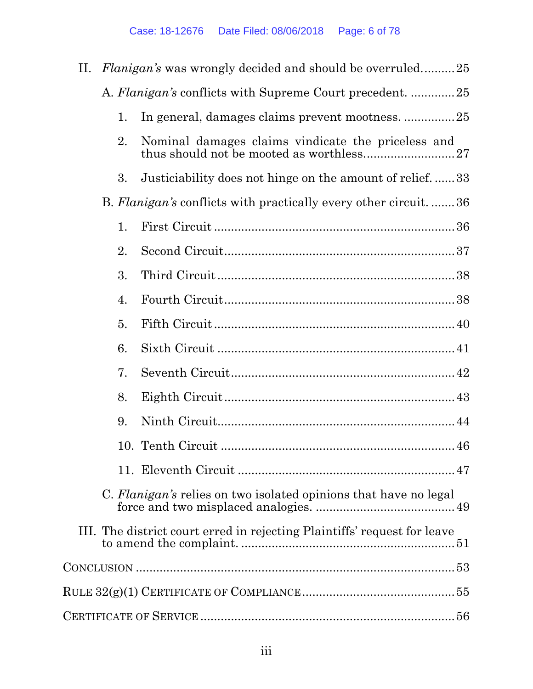| П. |    | <i>Flanigan's</i> was wrongly decided and should be overruled25          |
|----|----|--------------------------------------------------------------------------|
|    |    | A. Flanigan's conflicts with Supreme Court precedent. 25                 |
|    | 1. | In general, damages claims prevent mootness. 25                          |
|    | 2. | Nominal damages claims vindicate the priceless and                       |
|    | 3. | Justiciability does not hinge on the amount of relief33                  |
|    |    | B. Flanigan's conflicts with practically every other circuit36           |
|    | 1. |                                                                          |
|    | 2. |                                                                          |
|    | 3. |                                                                          |
|    | 4. |                                                                          |
|    | 5. |                                                                          |
|    | 6. |                                                                          |
|    | 7. |                                                                          |
|    | 8. |                                                                          |
|    | 9. |                                                                          |
|    |    | 46                                                                       |
|    |    |                                                                          |
|    |    | C. Flanigan's relies on two isolated opinions that have no legal         |
|    |    | III. The district court erred in rejecting Plaintiffs' request for leave |
|    |    |                                                                          |
|    |    |                                                                          |
|    |    |                                                                          |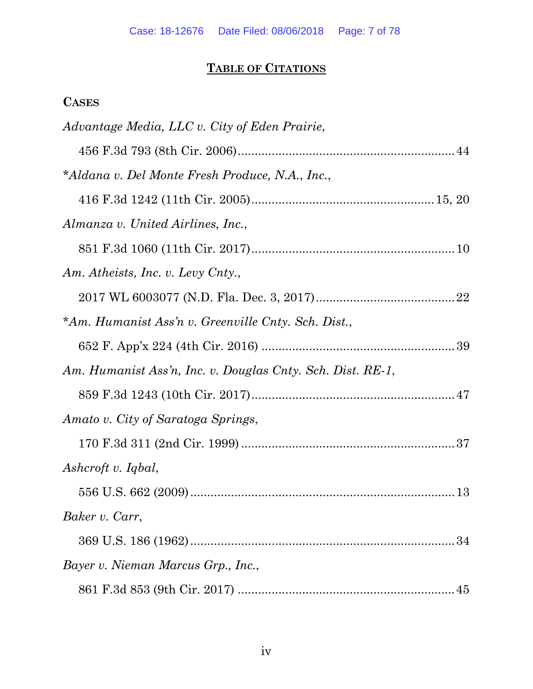# **TABLE OF CITATIONS**

# **CASES**

| Advantage Media, LLC v. City of Eden Prairie,              |  |
|------------------------------------------------------------|--|
|                                                            |  |
| *Aldana v. Del Monte Fresh Produce, N.A., Inc.,            |  |
|                                                            |  |
| Almanza v. United Airlines, Inc.,                          |  |
|                                                            |  |
| Am. Atheists, Inc. v. Levy Cnty.,                          |  |
|                                                            |  |
| *Am. Humanist Ass'n v. Greenville Cnty. Sch. Dist.,        |  |
|                                                            |  |
| Am. Humanist Ass'n, Inc. v. Douglas Cnty. Sch. Dist. RE-1, |  |
|                                                            |  |
| Amato v. City of Saratoga Springs,                         |  |
|                                                            |  |
| Ashcroft v. Iqbal,                                         |  |
|                                                            |  |
| Baker v. Carr,                                             |  |
| 34                                                         |  |
| Bayer v. Nieman Marcus Grp., Inc.,                         |  |
|                                                            |  |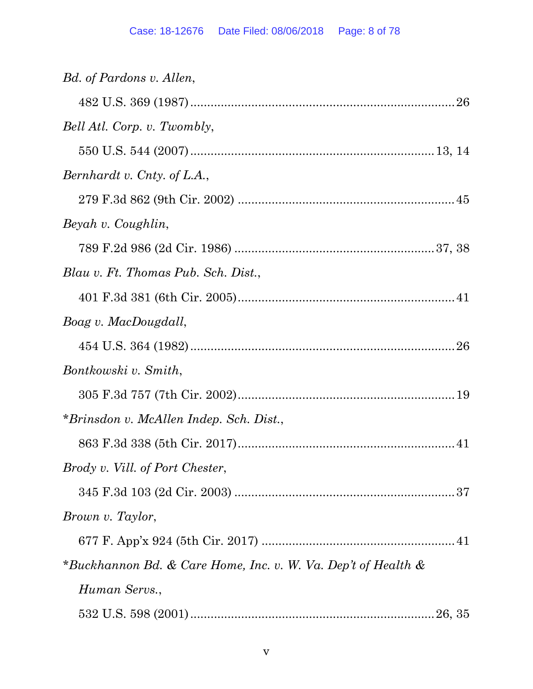| Bd. of Pardons v. Allen,                                      |
|---------------------------------------------------------------|
|                                                               |
| Bell Atl. Corp. v. Twombly,                                   |
|                                                               |
| Bernhardt v. Cnty. of L.A.,                                   |
|                                                               |
| Beyah v. Coughlin,                                            |
|                                                               |
| Blau v. Ft. Thomas Pub. Sch. Dist.,                           |
|                                                               |
| Boag v. MacDougdall,                                          |
|                                                               |
| Bontkowski v. Smith,                                          |
|                                                               |
| *Brinsdon v. McAllen Indep. Sch. Dist.,                       |
|                                                               |
| Brody v. Vill. of Port Chester,                               |
|                                                               |
| Brown v. Taylor,                                              |
|                                                               |
| *Buckhannon Bd. & Care Home, Inc. v. W. Va. Dep't of Health & |
| Human Servs.,                                                 |
|                                                               |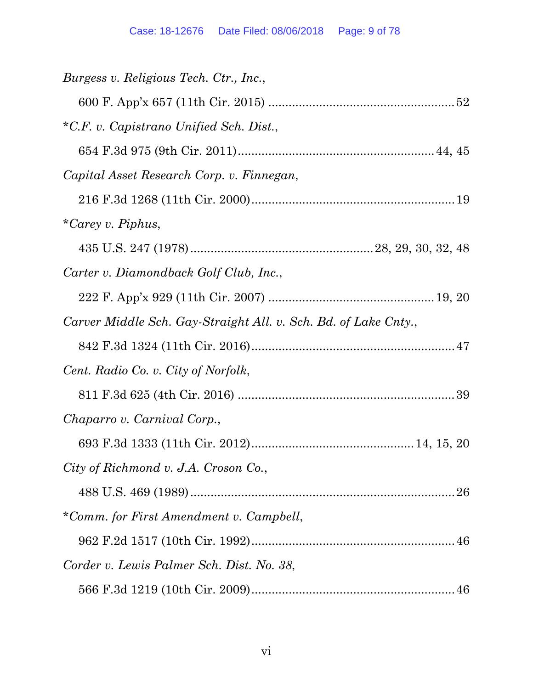| Burgess v. Religious Tech. Ctr., Inc.,                          |
|-----------------------------------------------------------------|
|                                                                 |
| *C.F. v. Capistrano Unified Sch. Dist.,                         |
|                                                                 |
| Capital Asset Research Corp. v. Finnegan,                       |
|                                                                 |
| *Carey v. Piphus,                                               |
|                                                                 |
| Carter v. Diamondback Golf Club, Inc.,                          |
|                                                                 |
| Carver Middle Sch. Gay-Straight All. v. Sch. Bd. of Lake Cnty., |
|                                                                 |
| Cent. Radio Co. v. City of Norfolk,                             |
|                                                                 |
| Chaparro v. Carnival Corp.,                                     |
|                                                                 |
| City of Richmond v. J.A. Croson Co.,                            |
|                                                                 |
| *Comm. for First Amendment v. Campbell,                         |
|                                                                 |
| Corder v. Lewis Palmer Sch. Dist. No. 38,                       |
|                                                                 |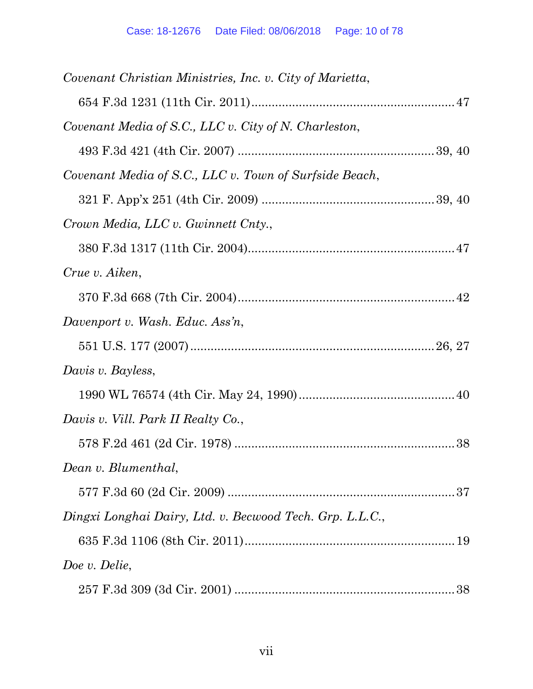| Covenant Christian Ministries, Inc. v. City of Marietta, |
|----------------------------------------------------------|
|                                                          |
| Covenant Media of S.C., LLC v. City of N. Charleston,    |
|                                                          |
| Covenant Media of S.C., LLC v. Town of Surfside Beach,   |
|                                                          |
| Crown Media, LLC v. Gwinnett Cnty.,                      |
|                                                          |
| Crue v. Aiken,                                           |
|                                                          |
| Davenport v. Wash. Educ. Ass'n,                          |
|                                                          |
| Davis v. Bayless,                                        |
|                                                          |
| Davis v. Vill. Park II Realty Co.,                       |
|                                                          |
| Dean v. Blumenthal,                                      |
|                                                          |
| Dingxi Longhai Dairy, Ltd. v. Becwood Tech. Grp. L.L.C., |
|                                                          |
| Doe v. Delie,                                            |
|                                                          |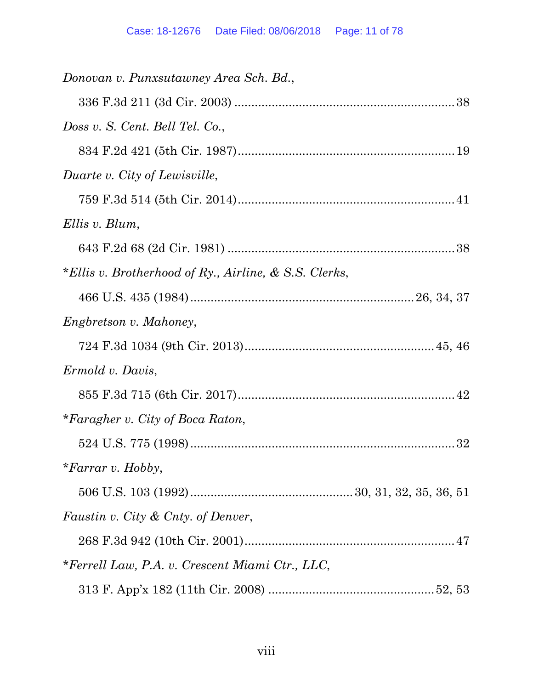| Donovan v. Punxsutawney Area Sch. Bd.,                |  |
|-------------------------------------------------------|--|
|                                                       |  |
| Doss v. S. Cent. Bell Tel. Co.,                       |  |
|                                                       |  |
| Duarte v. City of Lewisville,                         |  |
|                                                       |  |
| Ellis v. Blum,                                        |  |
|                                                       |  |
| *Ellis v. Brotherhood of Ry., Airline, & S.S. Clerks, |  |
|                                                       |  |
| <i>Engbretson v. Mahoney,</i>                         |  |
|                                                       |  |
| Ermold v. Davis,                                      |  |
|                                                       |  |
| *Faragher v. City of Boca Raton,                      |  |
|                                                       |  |
| *Farrar v. Hobby,                                     |  |
|                                                       |  |
| Faustin v. City & Cnty. of Denver,                    |  |
|                                                       |  |
| *Ferrell Law, P.A. v. Crescent Miami Ctr., LLC,       |  |
|                                                       |  |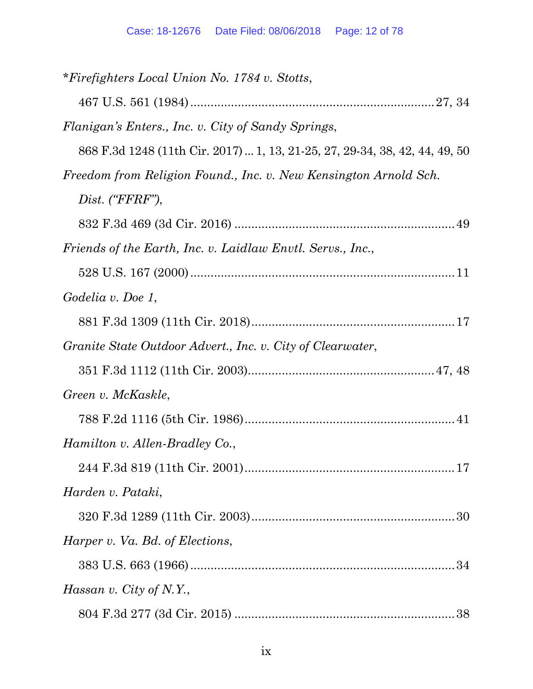| *Firefighters Local Union No. 1784 v. Stotts,                               |  |
|-----------------------------------------------------------------------------|--|
|                                                                             |  |
| Flanigan's Enters., Inc. v. City of Sandy Springs,                          |  |
| 868 F.3d 1248 (11th Cir. 2017)  1, 13, 21-25, 27, 29-34, 38, 42, 44, 49, 50 |  |
| Freedom from Religion Found., Inc. v. New Kensington Arnold Sch.            |  |
| Dist. ("FFRF"),                                                             |  |
|                                                                             |  |
| Friends of the Earth, Inc. v. Laidlaw Envtl. Servs., Inc.,                  |  |
|                                                                             |  |
| Godelia v. Doe 1,                                                           |  |
|                                                                             |  |
| Granite State Outdoor Advert., Inc. v. City of Clearwater,                  |  |
|                                                                             |  |
| Green v. McKaskle,                                                          |  |
|                                                                             |  |
| Hamilton v. Allen-Bradley Co.,                                              |  |
|                                                                             |  |
| Harden v. Pataki,                                                           |  |
|                                                                             |  |
| Harper v. Va. Bd. of Elections,                                             |  |
|                                                                             |  |
| Hassan v. City of N.Y.,                                                     |  |
|                                                                             |  |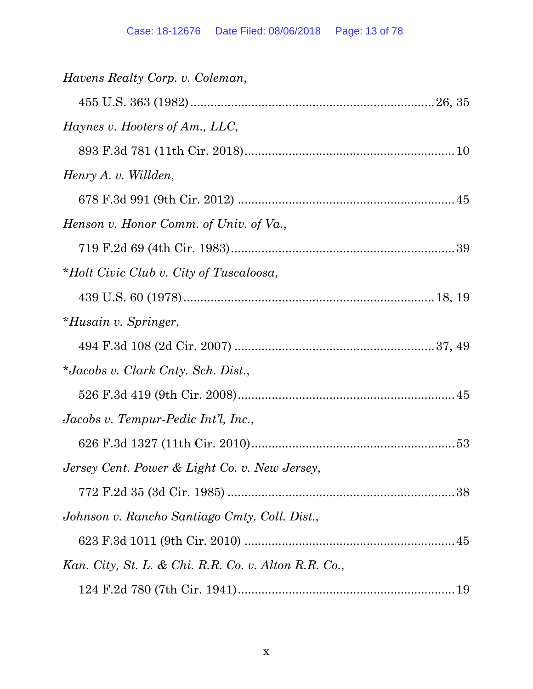| <i>Havens Realty Corp. v. Coleman,</i>               |  |
|------------------------------------------------------|--|
|                                                      |  |
| Haynes v. Hooters of Am., LLC,                       |  |
|                                                      |  |
| Henry A. v. Willden,                                 |  |
|                                                      |  |
| Henson v. Honor Comm. of Univ. of Va.,               |  |
|                                                      |  |
| *Holt Civic Club v. City of Tuscaloosa,              |  |
|                                                      |  |
| <i>*Husain v. Springer,</i>                          |  |
|                                                      |  |
| *Jacobs v. Clark Cnty. Sch. Dist.,                   |  |
|                                                      |  |
| Jacobs v. Tempur-Pedic Int'l, Inc.,                  |  |
|                                                      |  |
| Jersey Cent. Power & Light Co. v. New Jersey,        |  |
|                                                      |  |
| Johnson v. Rancho Santiago Cmty. Coll. Dist.,        |  |
|                                                      |  |
| Kan. City, St. L. & Chi. R.R. Co. v. Alton R.R. Co., |  |
|                                                      |  |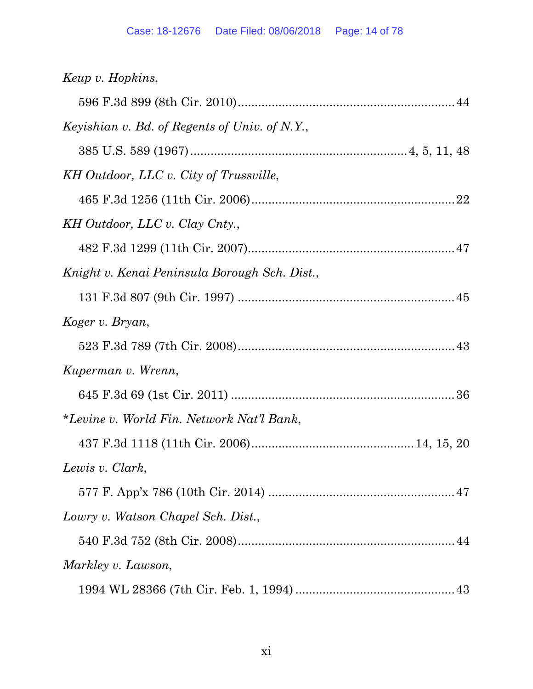| Keup v. Hopkins,                              |  |
|-----------------------------------------------|--|
|                                               |  |
| Keyishian v. Bd. of Regents of Univ. of N.Y., |  |
|                                               |  |
| KH Outdoor, LLC v. City of Trussville,        |  |
|                                               |  |
| KH Outdoor, LLC v. Clay Cnty.,                |  |
|                                               |  |
| Knight v. Kenai Peninsula Borough Sch. Dist., |  |
|                                               |  |
| Koger v. Bryan,                               |  |
|                                               |  |
| Kuperman v. Wrenn,                            |  |
|                                               |  |
| *Levine v. World Fin. Network Nat'l Bank,     |  |
|                                               |  |
| Lewis v. Clark,                               |  |
|                                               |  |
| Lowry v. Watson Chapel Sch. Dist.,            |  |
|                                               |  |
| Markley v. Lawson,                            |  |
|                                               |  |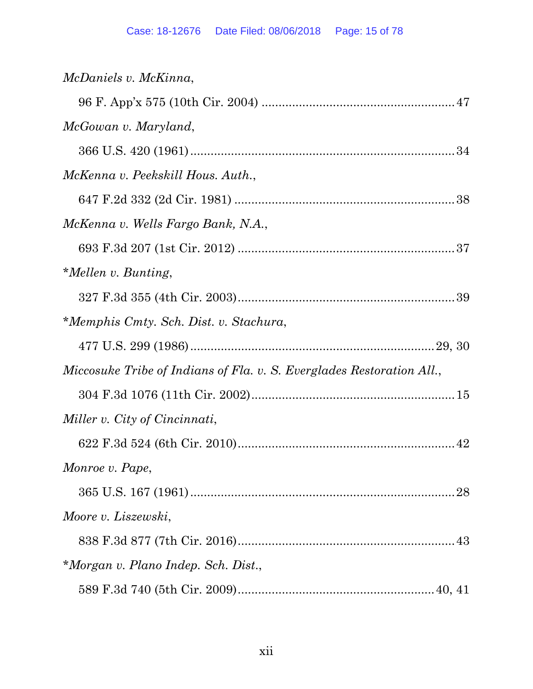| McDaniels v. McKinna,                                                 |
|-----------------------------------------------------------------------|
|                                                                       |
| McGowan v. Maryland,                                                  |
|                                                                       |
| McKenna v. Peekskill Hous. Auth.,                                     |
|                                                                       |
| McKenna v. Wells Fargo Bank, N.A.,                                    |
|                                                                       |
| *Mellen v. Bunting,                                                   |
|                                                                       |
| *Memphis Cmty. Sch. Dist. v. Stachura,                                |
|                                                                       |
|                                                                       |
| Miccosuke Tribe of Indians of Fla. v. S. Everglades Restoration All., |
|                                                                       |
| Miller v. City of Cincinnati,                                         |
|                                                                       |
| Monroe v. Pape,                                                       |
|                                                                       |
| Moore v. Liszewski,                                                   |
|                                                                       |
| *Morgan v. Plano Indep. Sch. Dist.,                                   |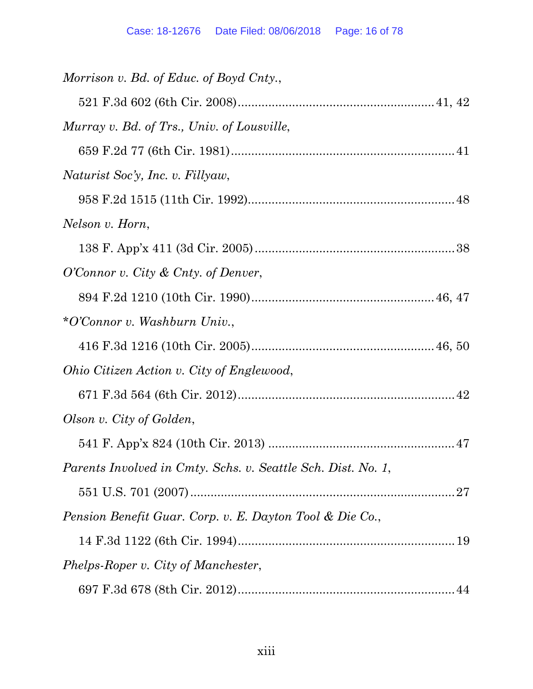| Morrison v. Bd. of Educ. of Boyd Cnty.,                      |
|--------------------------------------------------------------|
|                                                              |
| Murray v. Bd. of Trs., Univ. of Lousville,                   |
|                                                              |
| Naturist Soc'y, Inc. v. Fillyaw,                             |
|                                                              |
| Nelson v. Horn,                                              |
|                                                              |
| O'Connor v. City & Cnty. of Denver,                          |
|                                                              |
| *O'Connor v. Washburn Univ.,                                 |
|                                                              |
| Ohio Citizen Action v. City of Englewood,                    |
|                                                              |
| Olson v. City of Golden,                                     |
|                                                              |
| Parents Involved in Cmty. Schs. v. Seattle Sch. Dist. No. 1, |
|                                                              |
| Pension Benefit Guar. Corp. v. E. Dayton Tool & Die Co.,     |
|                                                              |
| Phelps-Roper v. City of Manchester,                          |
|                                                              |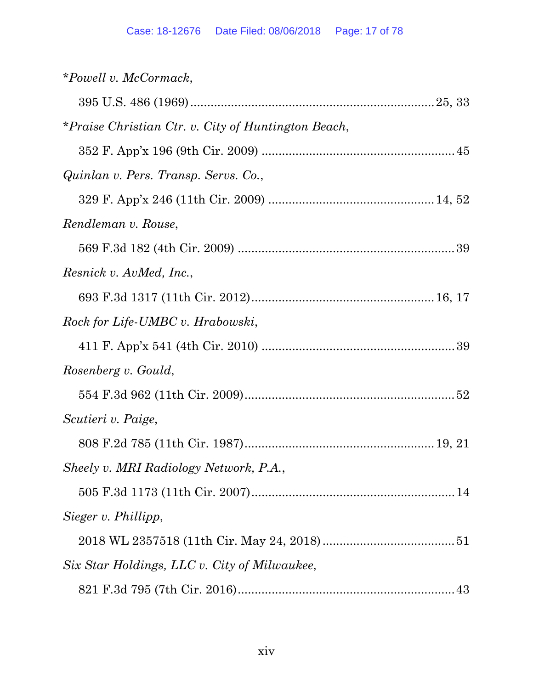| *Powell v. McCormack,                               |
|-----------------------------------------------------|
|                                                     |
| *Praise Christian Ctr. v. City of Huntington Beach, |
|                                                     |
| Quinlan v. Pers. Transp. Servs. Co.,                |
|                                                     |
| Rendleman v. Rouse,                                 |
|                                                     |
| Resnick v. AvMed, Inc.,                             |
|                                                     |
| Rock for Life-UMBC v. Hrabowski,                    |
|                                                     |
| Rosenberg v. Gould,                                 |
|                                                     |
| Scutieri v. Paige,                                  |
|                                                     |
| Sheely v. MRI Radiology Network, P.A.,              |
|                                                     |
| Sieger v. Phillipp,                                 |
|                                                     |
| Six Star Holdings, LLC v. City of Milwaukee,        |
|                                                     |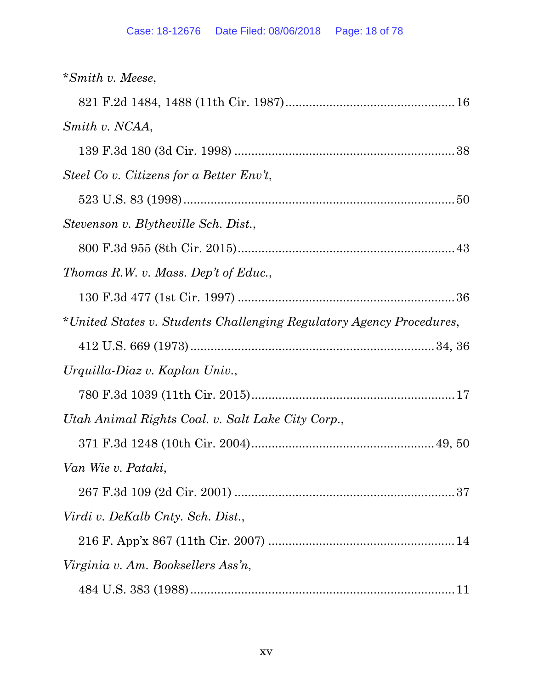| *Smith v. Meese,                                                     |
|----------------------------------------------------------------------|
|                                                                      |
| Smith v. NCAA,                                                       |
|                                                                      |
| Steel Co v. Citizens for a Better Env't,                             |
|                                                                      |
| Stevenson v. Blytheville Sch. Dist.,                                 |
|                                                                      |
| Thomas R.W. v. Mass. Dep't of Educ.,                                 |
|                                                                      |
| *United States v. Students Challenging Regulatory Agency Procedures, |
|                                                                      |
|                                                                      |
| Urquilla-Diaz v. Kaplan Univ.,                                       |
|                                                                      |
| Utah Animal Rights Coal. v. Salt Lake City Corp.,                    |
|                                                                      |
| Van Wie v. Pataki,                                                   |
|                                                                      |
| Virdi v. DeKalb Cnty. Sch. Dist.,                                    |
|                                                                      |
| Virginia v. Am. Booksellers Ass'n,                                   |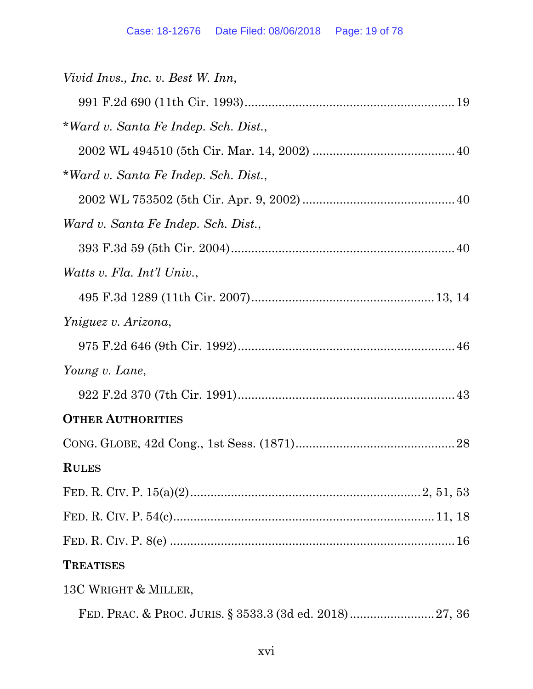| Vivid Invs., Inc. v. Best W. Inn,    |
|--------------------------------------|
|                                      |
| *Ward v. Santa Fe Indep. Sch. Dist., |
|                                      |
| *Ward v. Santa Fe Indep. Sch. Dist., |
|                                      |
| Ward v. Santa Fe Indep. Sch. Dist.,  |
|                                      |
| Watts v. Fla. Int'l Univ.,           |
|                                      |
| Yniguez v. Arizona,                  |
|                                      |
| Young v. Lane,                       |
|                                      |
| <b>OTHER AUTHORITIES</b>             |
|                                      |
| <b>RULES</b>                         |
|                                      |
|                                      |
|                                      |
| <b>TREATISES</b>                     |
| 13C WRIGHT & MILLER,                 |
|                                      |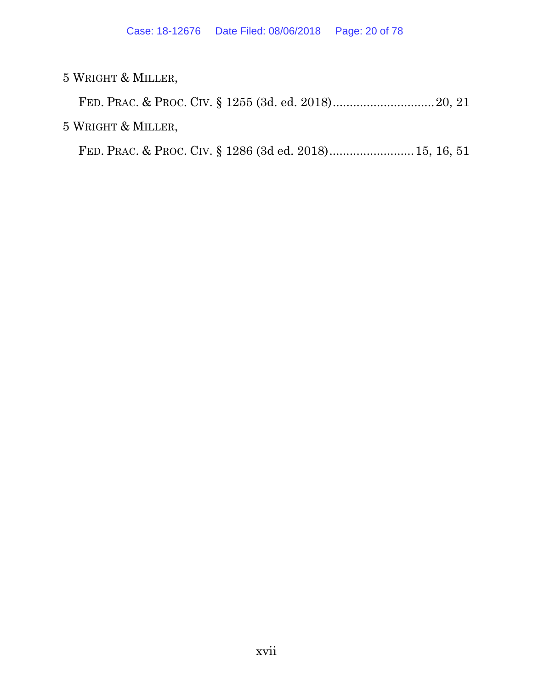5 WRIGHT & MILLER,

FED. PRAC. & PROC. CIV. § 1255 (3d. ed. 2018) .............................. 20, 21 5 WRIGHT & MILLER,

FED. PRAC. & PROC. CIV. § 1286 (3d ed. 2018) ......................... 15, 16, 51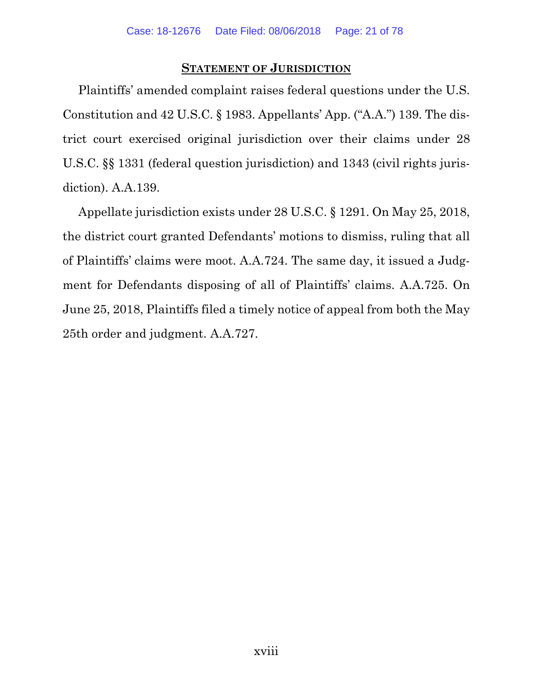#### **STATEMENT OF JURISDICTION**

Plaintiffs' amended complaint raises federal questions under the U.S. Constitution and 42 U.S.C. § 1983. Appellants' App. ("A.A.") 139. The district court exercised original jurisdiction over their claims under 28 U.S.C. §§ 1331 (federal question jurisdiction) and 1343 (civil rights jurisdiction). A.A.139.

Appellate jurisdiction exists under 28 U.S.C. § 1291. On May 25, 2018, the district court granted Defendants' motions to dismiss, ruling that all of Plaintiffs' claims were moot. A.A.724. The same day, it issued a Judgment for Defendants disposing of all of Plaintiffs' claims. A.A.725. On June 25, 2018, Plaintiffs filed a timely notice of appeal from both the May 25th order and judgment. A.A.727.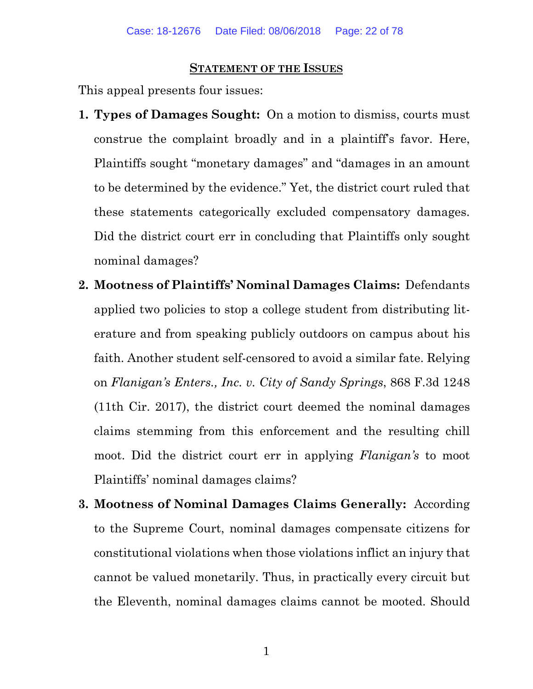#### **STATEMENT OF THE ISSUES**

This appeal presents four issues:

- **1. Types of Damages Sought:** On a motion to dismiss, courts must construe the complaint broadly and in a plaintiff's favor. Here, Plaintiffs sought "monetary damages" and "damages in an amount to be determined by the evidence." Yet, the district court ruled that these statements categorically excluded compensatory damages. Did the district court err in concluding that Plaintiffs only sought nominal damages?
- **2. Mootness of Plaintiffs' Nominal Damages Claims:** Defendants applied two policies to stop a college student from distributing literature and from speaking publicly outdoors on campus about his faith. Another student self-censored to avoid a similar fate. Relying on *Flanigan's Enters., Inc. v. City of Sandy Springs*, 868 F.3d 1248 (11th Cir. 2017), the district court deemed the nominal damages claims stemming from this enforcement and the resulting chill moot. Did the district court err in applying *Flanigan's* to moot Plaintiffs' nominal damages claims?
- **3. Mootness of Nominal Damages Claims Generally:** According to the Supreme Court, nominal damages compensate citizens for constitutional violations when those violations inflict an injury that cannot be valued monetarily. Thus, in practically every circuit but the Eleventh, nominal damages claims cannot be mooted. Should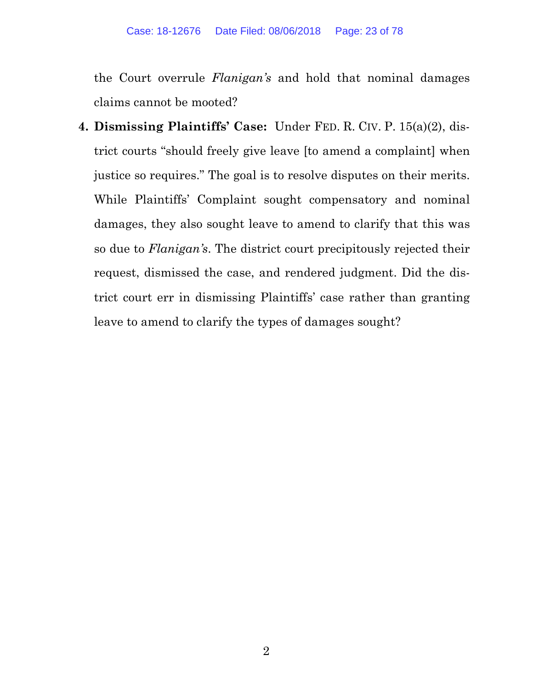the Court overrule *Flanigan's* and hold that nominal damages claims cannot be mooted?

**4. Dismissing Plaintiffs' Case:** Under FED. R. CIV. P. 15(a)(2), district courts "should freely give leave [to amend a complaint] when justice so requires." The goal is to resolve disputes on their merits. While Plaintiffs' Complaint sought compensatory and nominal damages, they also sought leave to amend to clarify that this was so due to *Flanigan's*. The district court precipitously rejected their request, dismissed the case, and rendered judgment. Did the district court err in dismissing Plaintiffs' case rather than granting leave to amend to clarify the types of damages sought?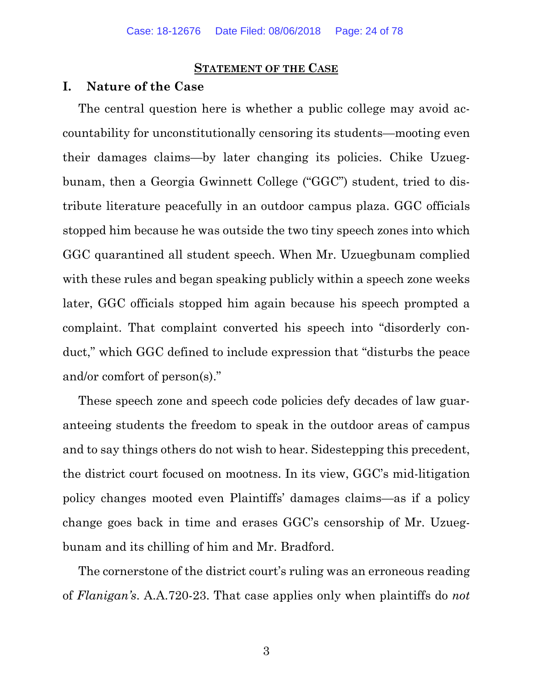#### **STATEMENT OF THE CASE**

#### **I. Nature of the Case**

The central question here is whether a public college may avoid accountability for unconstitutionally censoring its students—mooting even their damages claims—by later changing its policies. Chike Uzuegbunam, then a Georgia Gwinnett College ("GGC") student, tried to distribute literature peacefully in an outdoor campus plaza. GGC officials stopped him because he was outside the two tiny speech zones into which GGC quarantined all student speech. When Mr. Uzuegbunam complied with these rules and began speaking publicly within a speech zone weeks later, GGC officials stopped him again because his speech prompted a complaint. That complaint converted his speech into "disorderly conduct," which GGC defined to include expression that "disturbs the peace and/or comfort of person(s)."

These speech zone and speech code policies defy decades of law guaranteeing students the freedom to speak in the outdoor areas of campus and to say things others do not wish to hear. Sidestepping this precedent, the district court focused on mootness. In its view, GGC's mid-litigation policy changes mooted even Plaintiffs' damages claims—as if a policy change goes back in time and erases GGC's censorship of Mr. Uzuegbunam and its chilling of him and Mr. Bradford.

The cornerstone of the district court's ruling was an erroneous reading of *Flanigan's*. A.A.720-23. That case applies only when plaintiffs do *not*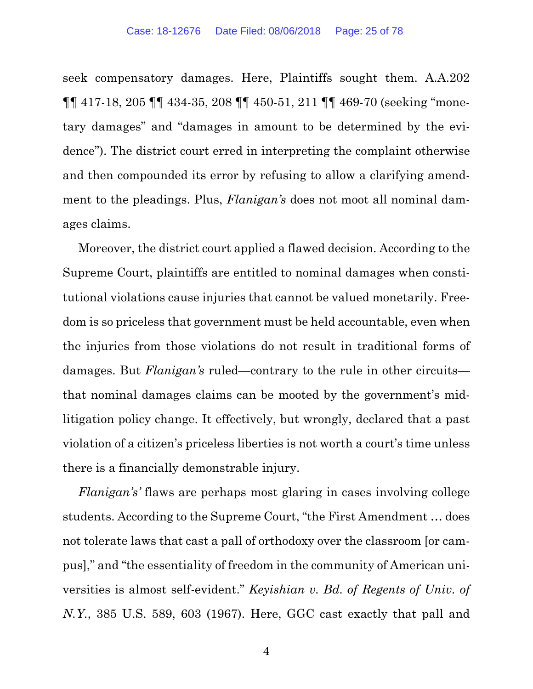seek compensatory damages. Here, Plaintiffs sought them. A.A.202 ¶¶ 417-18, 205 ¶¶ 434-35, 208 ¶¶ 450-51, 211 ¶¶ 469-70 (seeking "monetary damages" and "damages in amount to be determined by the evidence"). The district court erred in interpreting the complaint otherwise and then compounded its error by refusing to allow a clarifying amendment to the pleadings. Plus, *Flanigan's* does not moot all nominal damages claims.

Moreover, the district court applied a flawed decision. According to the Supreme Court, plaintiffs are entitled to nominal damages when constitutional violations cause injuries that cannot be valued monetarily. Freedom is so priceless that government must be held accountable, even when the injuries from those violations do not result in traditional forms of damages. But *Flanigan's* ruled—contrary to the rule in other circuits that nominal damages claims can be mooted by the government's midlitigation policy change. It effectively, but wrongly, declared that a past violation of a citizen's priceless liberties is not worth a court's time unless there is a financially demonstrable injury.

*Flanigan's'* flaws are perhaps most glaring in cases involving college students. According to the Supreme Court, "the First Amendment … does not tolerate laws that cast a pall of orthodoxy over the classroom [or campus]," and "the essentiality of freedom in the community of American universities is almost self-evident." *Keyishian v. Bd. of Regents of Univ. of N.Y.*, 385 U.S. 589, 603 (1967). Here, GGC cast exactly that pall and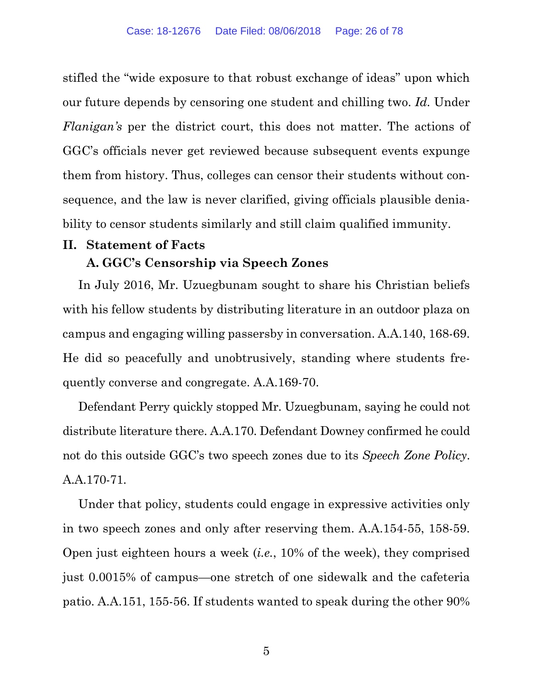stifled the "wide exposure to that robust exchange of ideas" upon which our future depends by censoring one student and chilling two. *Id.* Under *Flanigan's* per the district court, this does not matter. The actions of GGC's officials never get reviewed because subsequent events expunge them from history. Thus, colleges can censor their students without consequence, and the law is never clarified, giving officials plausible deniability to censor students similarly and still claim qualified immunity.

#### **II. Statement of Facts**

#### **A. GGC's Censorship via Speech Zones**

In July 2016, Mr. Uzuegbunam sought to share his Christian beliefs with his fellow students by distributing literature in an outdoor plaza on campus and engaging willing passersby in conversation. A.A.140, 168-69. He did so peacefully and unobtrusively, standing where students frequently converse and congregate. A.A.169-70.

Defendant Perry quickly stopped Mr. Uzuegbunam, saying he could not distribute literature there. A.A.170. Defendant Downey confirmed he could not do this outside GGC's two speech zones due to its *Speech Zone Policy*. A.A.170-71.

Under that policy, students could engage in expressive activities only in two speech zones and only after reserving them. A.A.154-55, 158-59. Open just eighteen hours a week (*i.e.*, 10% of the week), they comprised just 0.0015% of campus—one stretch of one sidewalk and the cafeteria patio. A.A.151, 155-56. If students wanted to speak during the other 90%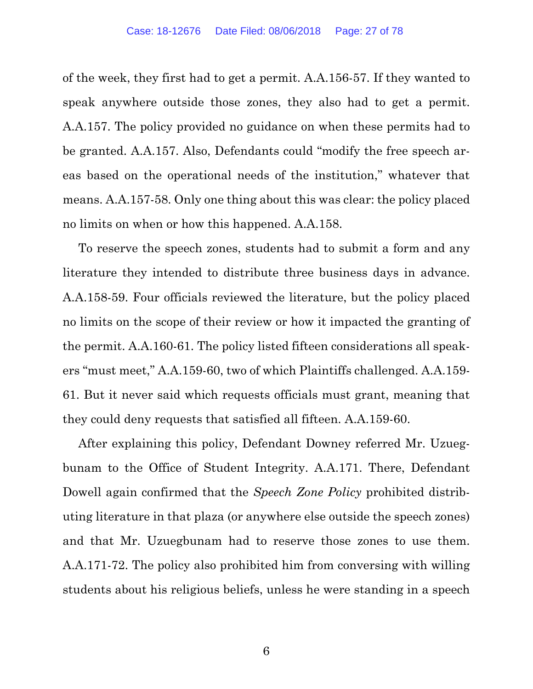of the week, they first had to get a permit. A.A.156-57. If they wanted to speak anywhere outside those zones, they also had to get a permit. A.A.157. The policy provided no guidance on when these permits had to be granted. A.A.157. Also, Defendants could "modify the free speech areas based on the operational needs of the institution," whatever that means. A.A.157-58. Only one thing about this was clear: the policy placed no limits on when or how this happened. A.A.158.

To reserve the speech zones, students had to submit a form and any literature they intended to distribute three business days in advance. A.A.158-59. Four officials reviewed the literature, but the policy placed no limits on the scope of their review or how it impacted the granting of the permit. A.A.160-61. The policy listed fifteen considerations all speakers "must meet," A.A.159-60, two of which Plaintiffs challenged. A.A.159- 61. But it never said which requests officials must grant, meaning that they could deny requests that satisfied all fifteen. A.A.159-60.

After explaining this policy, Defendant Downey referred Mr. Uzuegbunam to the Office of Student Integrity. A.A.171. There, Defendant Dowell again confirmed that the *Speech Zone Policy* prohibited distributing literature in that plaza (or anywhere else outside the speech zones) and that Mr. Uzuegbunam had to reserve those zones to use them. A.A.171-72. The policy also prohibited him from conversing with willing students about his religious beliefs, unless he were standing in a speech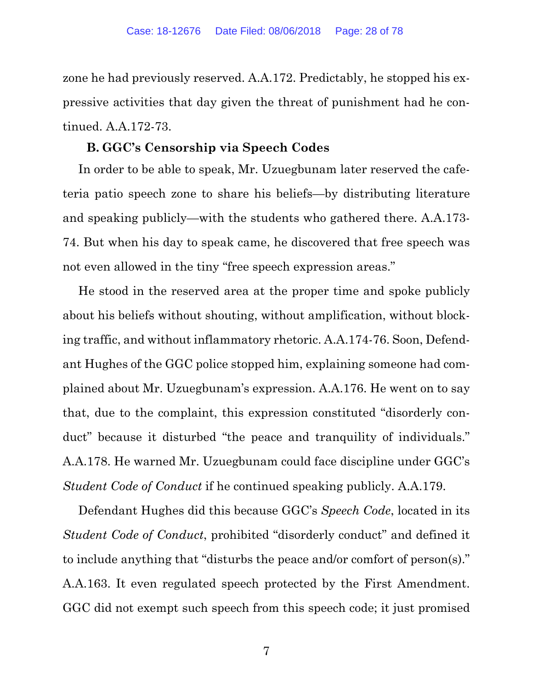zone he had previously reserved. A.A.172. Predictably, he stopped his expressive activities that day given the threat of punishment had he continued. A.A.172-73.

#### **B. GGC's Censorship via Speech Codes**

In order to be able to speak, Mr. Uzuegbunam later reserved the cafeteria patio speech zone to share his beliefs—by distributing literature and speaking publicly—with the students who gathered there. A.A.173- 74. But when his day to speak came, he discovered that free speech was not even allowed in the tiny "free speech expression areas."

He stood in the reserved area at the proper time and spoke publicly about his beliefs without shouting, without amplification, without blocking traffic, and without inflammatory rhetoric. A.A.174-76. Soon, Defendant Hughes of the GGC police stopped him, explaining someone had complained about Mr. Uzuegbunam's expression. A.A.176. He went on to say that, due to the complaint, this expression constituted "disorderly conduct" because it disturbed "the peace and tranquility of individuals." A.A.178. He warned Mr. Uzuegbunam could face discipline under GGC's *Student Code of Conduct* if he continued speaking publicly. A.A.179.

Defendant Hughes did this because GGC's *Speech Code*, located in its *Student Code of Conduct*, prohibited "disorderly conduct" and defined it to include anything that "disturbs the peace and/or comfort of person(s)." A.A.163. It even regulated speech protected by the First Amendment. GGC did not exempt such speech from this speech code; it just promised

7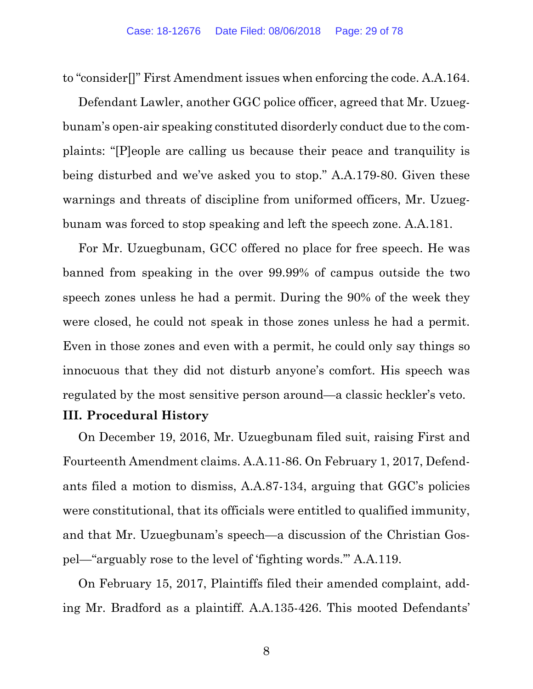to "consider[]" First Amendment issues when enforcing the code. A.A.164.

Defendant Lawler, another GGC police officer, agreed that Mr. Uzuegbunam's open-air speaking constituted disorderly conduct due to the complaints: "[P]eople are calling us because their peace and tranquility is being disturbed and we've asked you to stop." A.A.179-80. Given these warnings and threats of discipline from uniformed officers, Mr. Uzuegbunam was forced to stop speaking and left the speech zone. A.A.181.

For Mr. Uzuegbunam, GCC offered no place for free speech. He was banned from speaking in the over 99.99% of campus outside the two speech zones unless he had a permit. During the 90% of the week they were closed, he could not speak in those zones unless he had a permit. Even in those zones and even with a permit, he could only say things so innocuous that they did not disturb anyone's comfort. His speech was regulated by the most sensitive person around—a classic heckler's veto.

#### **III. Procedural History**

On December 19, 2016, Mr. Uzuegbunam filed suit, raising First and Fourteenth Amendment claims. A.A.11-86. On February 1, 2017, Defendants filed a motion to dismiss, A.A.87-134, arguing that GGC's policies were constitutional, that its officials were entitled to qualified immunity, and that Mr. Uzuegbunam's speech—a discussion of the Christian Gospel—"arguably rose to the level of 'fighting words.'" A.A.119.

On February 15, 2017, Plaintiffs filed their amended complaint, adding Mr. Bradford as a plaintiff. A.A.135-426. This mooted Defendants'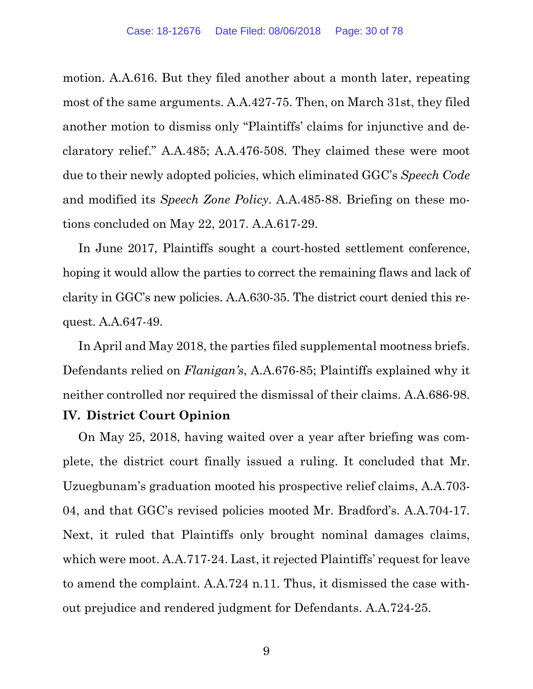motion. A.A.616. But they filed another about a month later, repeating most of the same arguments. A.A.427-75. Then, on March 31st, they filed another motion to dismiss only "Plaintiffs' claims for injunctive and declaratory relief." A.A.485; A.A.476-508. They claimed these were moot due to their newly adopted policies, which eliminated GGC's *Speech Code* and modified its *Speech Zone Policy*. A.A.485-88. Briefing on these motions concluded on May 22, 2017. A.A.617-29.

In June 2017, Plaintiffs sought a court-hosted settlement conference, hoping it would allow the parties to correct the remaining flaws and lack of clarity in GGC's new policies. A.A.630-35. The district court denied this request. A.A.647-49.

In April and May 2018, the parties filed supplemental mootness briefs. Defendants relied on *Flanigan's*, A.A.676-85; Plaintiffs explained why it neither controlled nor required the dismissal of their claims. A.A.686-98.

#### **IV. District Court Opinion**

On May 25, 2018, having waited over a year after briefing was complete, the district court finally issued a ruling. It concluded that Mr. Uzuegbunam's graduation mooted his prospective relief claims, A.A.703- 04, and that GGC's revised policies mooted Mr. Bradford's. A.A.704-17. Next, it ruled that Plaintiffs only brought nominal damages claims, which were moot. A.A.717-24. Last, it rejected Plaintiffs' request for leave to amend the complaint. A.A.724 n.11. Thus, it dismissed the case without prejudice and rendered judgment for Defendants. A.A.724-25.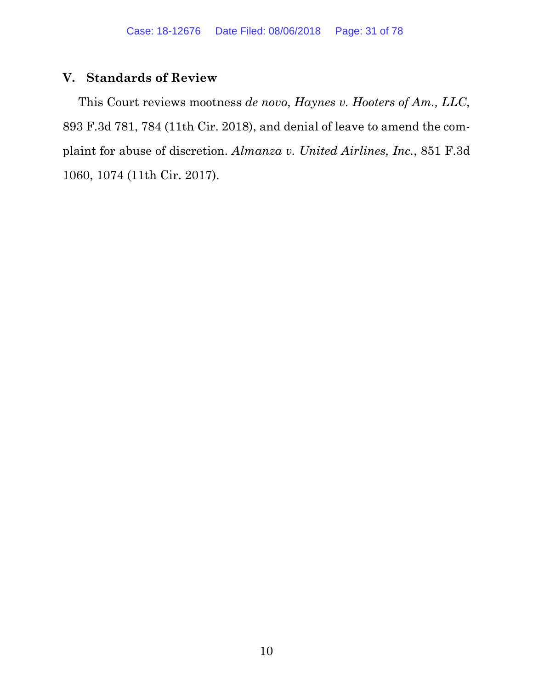# **V. Standards of Review**

This Court reviews mootness *de novo*, *Haynes v. Hooters of Am., LLC*, 893 F.3d 781, 784 (11th Cir. 2018), and denial of leave to amend the complaint for abuse of discretion. *Almanza v. United Airlines, Inc.*, 851 F.3d 1060, 1074 (11th Cir. 2017).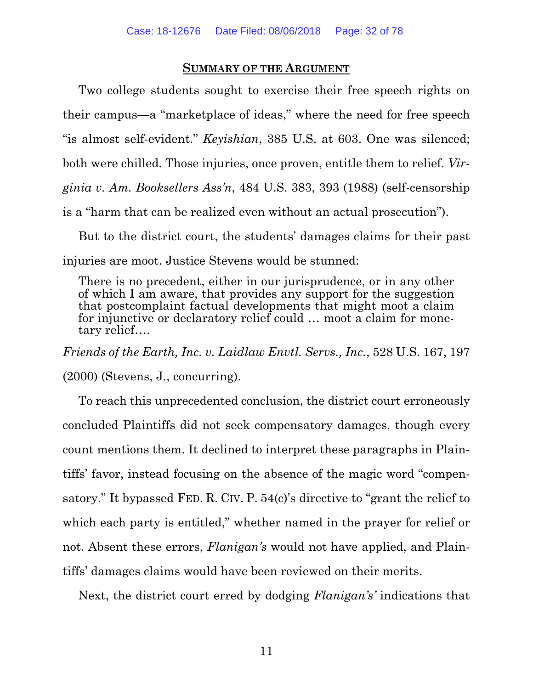#### **SUMMARY OF THE ARGUMENT**

Two college students sought to exercise their free speech rights on their campus—a "marketplace of ideas," where the need for free speech "is almost self-evident." *Keyishian*, 385 U.S. at 603. One was silenced; both were chilled. Those injuries, once proven, entitle them to relief. *Virginia v. Am. Booksellers Ass'n*, 484 U.S. 383, 393 (1988) (self-censorship is a "harm that can be realized even without an actual prosecution").

But to the district court, the students' damages claims for their past injuries are moot. Justice Stevens would be stunned:

There is no precedent, either in our jurisprudence, or in any other of which I am aware, that provides any support for the suggestion that postcomplaint factual developments that might moot a claim for injunctive or declaratory relief could … moot a claim for monetary relief….

*Friends of the Earth, Inc. v. Laidlaw Envtl. Servs., Inc.*, 528 U.S. 167, 197 (2000) (Stevens, J., concurring).

To reach this unprecedented conclusion, the district court erroneously concluded Plaintiffs did not seek compensatory damages, though every count mentions them. It declined to interpret these paragraphs in Plaintiffs' favor, instead focusing on the absence of the magic word "compensatory." It bypassed FED. R. CIV. P. 54(c)'s directive to "grant the relief to which each party is entitled," whether named in the prayer for relief or not. Absent these errors, *Flanigan's* would not have applied, and Plaintiffs' damages claims would have been reviewed on their merits.

Next, the district court erred by dodging *Flanigan's'* indications that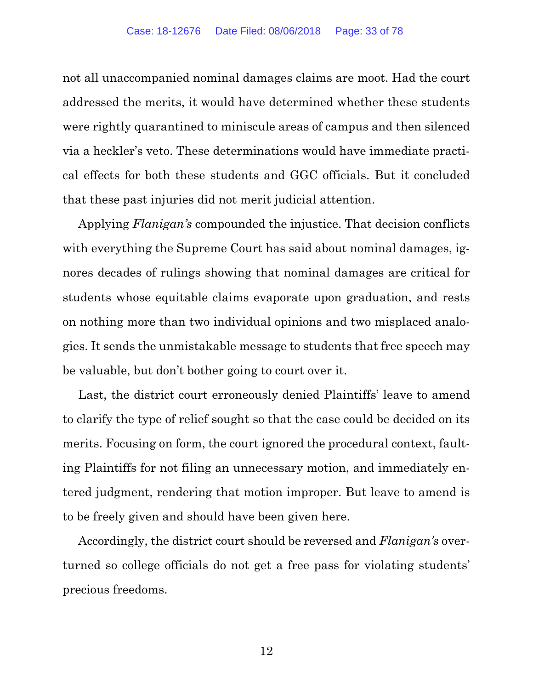not all unaccompanied nominal damages claims are moot. Had the court addressed the merits, it would have determined whether these students were rightly quarantined to miniscule areas of campus and then silenced via a heckler's veto. These determinations would have immediate practical effects for both these students and GGC officials. But it concluded that these past injuries did not merit judicial attention.

Applying *Flanigan's* compounded the injustice. That decision conflicts with everything the Supreme Court has said about nominal damages, ignores decades of rulings showing that nominal damages are critical for students whose equitable claims evaporate upon graduation, and rests on nothing more than two individual opinions and two misplaced analogies. It sends the unmistakable message to students that free speech may be valuable, but don't bother going to court over it.

Last, the district court erroneously denied Plaintiffs' leave to amend to clarify the type of relief sought so that the case could be decided on its merits. Focusing on form, the court ignored the procedural context, faulting Plaintiffs for not filing an unnecessary motion, and immediately entered judgment, rendering that motion improper. But leave to amend is to be freely given and should have been given here.

Accordingly, the district court should be reversed and *Flanigan's* overturned so college officials do not get a free pass for violating students' precious freedoms.

12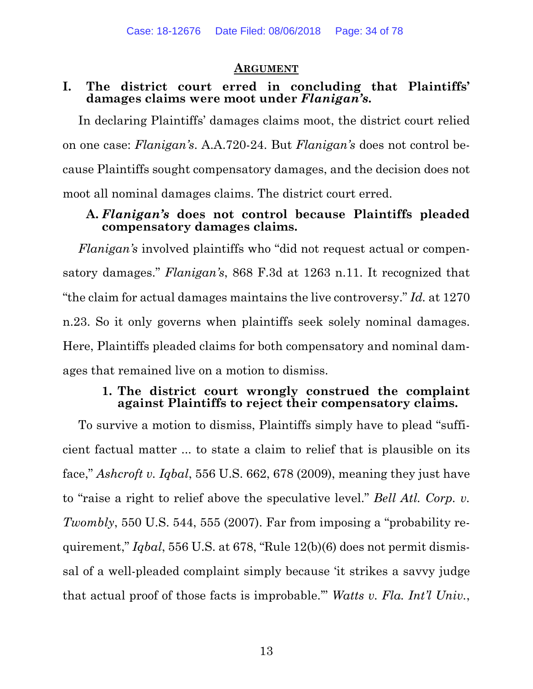#### **ARGUMENT**

#### **I. The district court erred in concluding that Plaintiffs' damages claims were moot under** *Flanigan's***.**

In declaring Plaintiffs' damages claims moot, the district court relied on one case: *Flanigan's*. A.A.720-24. But *Flanigan's* does not control because Plaintiffs sought compensatory damages, and the decision does not moot all nominal damages claims. The district court erred.

#### **A.** *Flanigan's* **does not control because Plaintiffs pleaded compensatory damages claims.**

*Flanigan's* involved plaintiffs who "did not request actual or compensatory damages." *Flanigan's*, 868 F.3d at 1263 n.11. It recognized that "the claim for actual damages maintains the live controversy." *Id.* at 1270 n.23. So it only governs when plaintiffs seek solely nominal damages. Here, Plaintiffs pleaded claims for both compensatory and nominal damages that remained live on a motion to dismiss.

#### **1. The district court wrongly construed the complaint against Plaintiffs to reject their compensatory claims.**

To survive a motion to dismiss, Plaintiffs simply have to plead "sufficient factual matter ... to state a claim to relief that is plausible on its face," *Ashcroft v. Iqbal*, 556 U.S. 662, 678 (2009), meaning they just have to "raise a right to relief above the speculative level." *Bell Atl. Corp. v. Twombly*, 550 U.S. 544, 555 (2007). Far from imposing a "probability requirement," *Iqbal*, 556 U.S. at 678, "Rule 12(b)(6) does not permit dismissal of a well-pleaded complaint simply because 'it strikes a savvy judge that actual proof of those facts is improbable.'" *Watts v. Fla. Int'l Univ.*,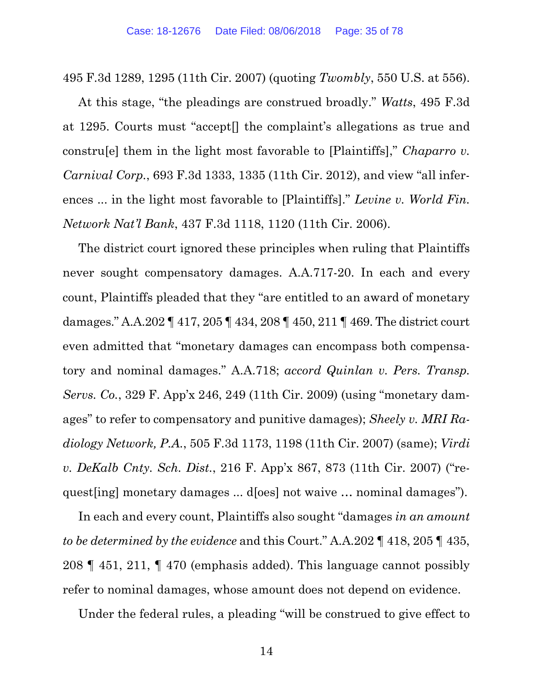495 F.3d 1289, 1295 (11th Cir. 2007) (quoting *Twombly*, 550 U.S. at 556).

At this stage, "the pleadings are construed broadly." *Watts*, 495 F.3d at 1295. Courts must "accept[] the complaint's allegations as true and constru[e] them in the light most favorable to [Plaintiffs]," *Chaparro v. Carnival Corp.*, 693 F.3d 1333, 1335 (11th Cir. 2012), and view "all inferences ... in the light most favorable to [Plaintiffs]." *Levine v. World Fin. Network Nat'l Bank*, 437 F.3d 1118, 1120 (11th Cir. 2006).

The district court ignored these principles when ruling that Plaintiffs never sought compensatory damages. A.A.717-20. In each and every count, Plaintiffs pleaded that they "are entitled to an award of monetary damages." A.A.202 ¶ 417, 205 ¶ 434, 208 ¶ 450, 211 ¶ 469. The district court even admitted that "monetary damages can encompass both compensatory and nominal damages." A.A.718; *accord Quinlan v. Pers. Transp. Servs. Co.*, 329 F. App'x 246, 249 (11th Cir. 2009) (using "monetary damages" to refer to compensatory and punitive damages); *Sheely v. MRI Radiology Network, P.A.*, 505 F.3d 1173, 1198 (11th Cir. 2007) (same); *Virdi v. DeKalb Cnty. Sch. Dist.*, 216 F. App'x 867, 873 (11th Cir. 2007) ("request[ing] monetary damages ... d[oes] not waive … nominal damages").

In each and every count, Plaintiffs also sought "damages *in an amount to be determined by the evidence* and this Court." A.A.202 ¶ 418, 205 ¶ 435, 208 ¶ 451, 211, ¶ 470 (emphasis added). This language cannot possibly refer to nominal damages, whose amount does not depend on evidence.

Under the federal rules, a pleading "will be construed to give effect to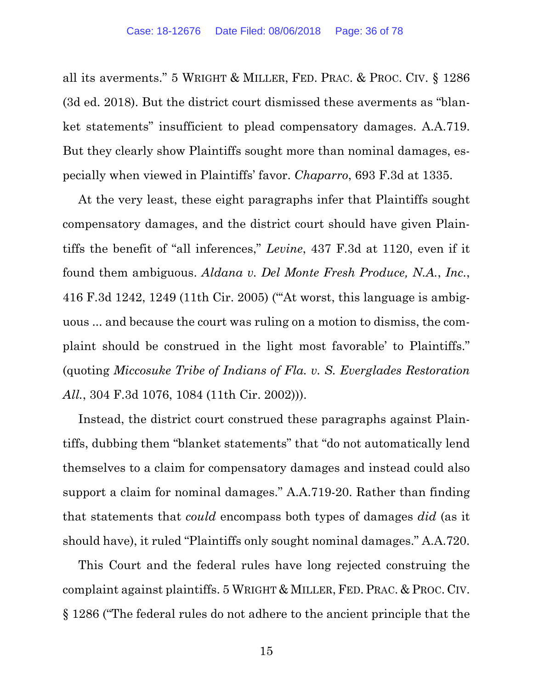all its averments." 5 WRIGHT & MILLER, FED. PRAC. & PROC. CIV. § 1286 (3d ed. 2018). But the district court dismissed these averments as "blanket statements" insufficient to plead compensatory damages. A.A.719. But they clearly show Plaintiffs sought more than nominal damages, especially when viewed in Plaintiffs' favor. *Chaparro*, 693 F.3d at 1335.

At the very least, these eight paragraphs infer that Plaintiffs sought compensatory damages, and the district court should have given Plaintiffs the benefit of "all inferences," *Levine*, 437 F.3d at 1120, even if it found them ambiguous. *Aldana v. Del Monte Fresh Produce, N.A.*, *Inc.*, 416 F.3d 1242, 1249 (11th Cir. 2005) ("'At worst, this language is ambiguous ... and because the court was ruling on a motion to dismiss, the complaint should be construed in the light most favorable' to Plaintiffs." (quoting *Miccosuke Tribe of Indians of Fla. v. S. Everglades Restoration All.*, 304 F.3d 1076, 1084 (11th Cir. 2002))).

Instead, the district court construed these paragraphs against Plaintiffs, dubbing them "blanket statements" that "do not automatically lend themselves to a claim for compensatory damages and instead could also support a claim for nominal damages." A.A.719-20. Rather than finding that statements that *could* encompass both types of damages *did* (as it should have), it ruled "Plaintiffs only sought nominal damages." A.A.720.

This Court and the federal rules have long rejected construing the complaint against plaintiffs. 5 WRIGHT & MILLER, FED. PRAC. & PROC. CIV. § 1286 ("The federal rules do not adhere to the ancient principle that the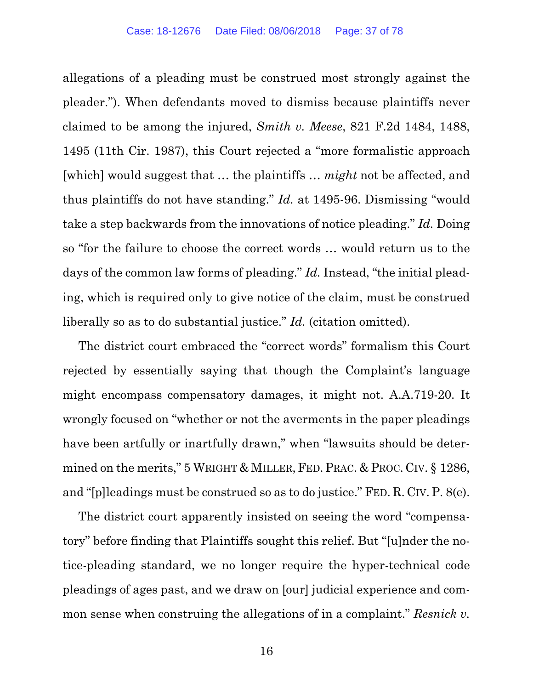allegations of a pleading must be construed most strongly against the pleader."). When defendants moved to dismiss because plaintiffs never claimed to be among the injured, *Smith v. Meese*, 821 F.2d 1484, 1488, 1495 (11th Cir. 1987), this Court rejected a "more formalistic approach [which] would suggest that … the plaintiffs … *might* not be affected, and thus plaintiffs do not have standing." *Id.* at 1495-96. Dismissing "would take a step backwards from the innovations of notice pleading." *Id.* Doing so "for the failure to choose the correct words … would return us to the days of the common law forms of pleading." *Id.* Instead, "the initial pleading, which is required only to give notice of the claim, must be construed liberally so as to do substantial justice." *Id.* (citation omitted).

The district court embraced the "correct words" formalism this Court rejected by essentially saying that though the Complaint's language might encompass compensatory damages, it might not. A.A.719-20. It wrongly focused on "whether or not the averments in the paper pleadings have been artfully or inartfully drawn," when "lawsuits should be determined on the merits," 5 WRIGHT & MILLER, FED. PRAC. & PROC. CIV. § 1286, and "[p]leadings must be construed so as to do justice." FED. R. CIV. P. 8(e).

The district court apparently insisted on seeing the word "compensatory" before finding that Plaintiffs sought this relief. But "[u]nder the notice-pleading standard, we no longer require the hyper-technical code pleadings of ages past, and we draw on [our] judicial experience and common sense when construing the allegations of in a complaint." *Resnick v.*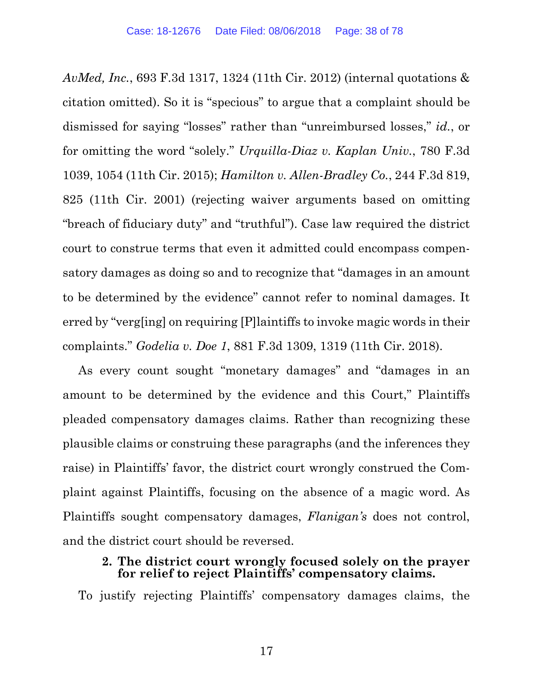*AvMed, Inc.*, 693 F.3d 1317, 1324 (11th Cir. 2012) (internal quotations & citation omitted). So it is "specious" to argue that a complaint should be dismissed for saying "losses" rather than "unreimbursed losses," *id.*, or for omitting the word "solely." *Urquilla-Diaz v. Kaplan Univ.*, 780 F.3d 1039, 1054 (11th Cir. 2015); *Hamilton v. Allen-Bradley Co.*, 244 F.3d 819, 825 (11th Cir. 2001) (rejecting waiver arguments based on omitting "breach of fiduciary duty" and "truthful"). Case law required the district court to construe terms that even it admitted could encompass compensatory damages as doing so and to recognize that "damages in an amount to be determined by the evidence" cannot refer to nominal damages. It erred by "verg[ing] on requiring [P]laintiffs to invoke magic words in their complaints." *Godelia v. Doe 1*, 881 F.3d 1309, 1319 (11th Cir. 2018).

As every count sought "monetary damages" and "damages in an amount to be determined by the evidence and this Court," Plaintiffs pleaded compensatory damages claims. Rather than recognizing these plausible claims or construing these paragraphs (and the inferences they raise) in Plaintiffs' favor, the district court wrongly construed the Complaint against Plaintiffs, focusing on the absence of a magic word. As Plaintiffs sought compensatory damages, *Flanigan's* does not control, and the district court should be reversed.

#### **2. The district court wrongly focused solely on the prayer for relief to reject Plaintiffs' compensatory claims.**

To justify rejecting Plaintiffs' compensatory damages claims, the

17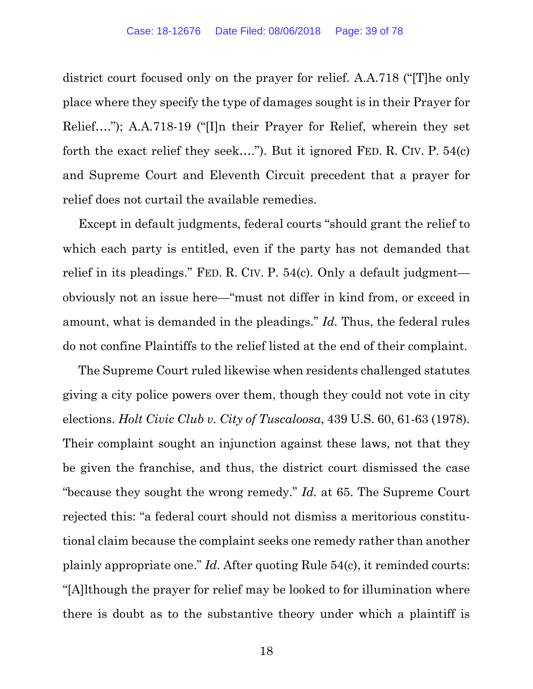district court focused only on the prayer for relief. A.A.718 ("[T]he only place where they specify the type of damages sought is in their Prayer for Relief…."); A.A.718-19 ("[I]n their Prayer for Relief, wherein they set forth the exact relief they seek…."). But it ignored FED. R. CIV. P. 54(c) and Supreme Court and Eleventh Circuit precedent that a prayer for relief does not curtail the available remedies.

Except in default judgments, federal courts "should grant the relief to which each party is entitled, even if the party has not demanded that relief in its pleadings." FED. R. CIV. P. 54(c). Only a default judgment obviously not an issue here—"must not differ in kind from, or exceed in amount, what is demanded in the pleadings." *Id.* Thus, the federal rules do not confine Plaintiffs to the relief listed at the end of their complaint.

The Supreme Court ruled likewise when residents challenged statutes giving a city police powers over them, though they could not vote in city elections. *Holt Civic Club v. City of Tuscaloosa*, 439 U.S. 60, 61-63 (1978). Their complaint sought an injunction against these laws, not that they be given the franchise, and thus, the district court dismissed the case "because they sought the wrong remedy." *Id.* at 65. The Supreme Court rejected this: "a federal court should not dismiss a meritorious constitutional claim because the complaint seeks one remedy rather than another plainly appropriate one." *Id.* After quoting Rule 54(c), it reminded courts: "[A]lthough the prayer for relief may be looked to for illumination where there is doubt as to the substantive theory under which a plaintiff is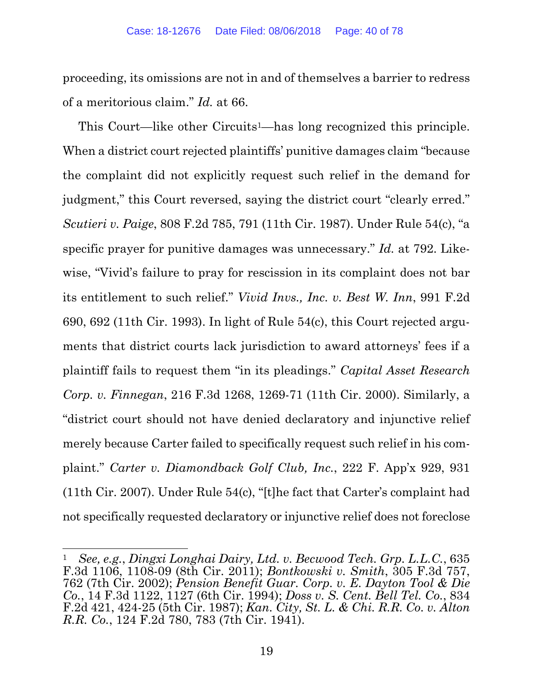proceeding, its omissions are not in and of themselves a barrier to redress of a meritorious claim." *Id.* at 66.

This Court—like other Circuits1—has long recognized this principle. When a district court rejected plaintiffs' punitive damages claim "because the complaint did not explicitly request such relief in the demand for judgment," this Court reversed, saying the district court "clearly erred." *Scutieri v. Paige*, 808 F.2d 785, 791 (11th Cir. 1987). Under Rule 54(c), "a specific prayer for punitive damages was unnecessary." *Id.* at 792. Likewise, "Vivid's failure to pray for rescission in its complaint does not bar its entitlement to such relief." *Vivid Invs., Inc. v. Best W. Inn*, 991 F.2d 690, 692 (11th Cir. 1993). In light of Rule 54(c), this Court rejected arguments that district courts lack jurisdiction to award attorneys' fees if a plaintiff fails to request them "in its pleadings." *Capital Asset Research Corp. v. Finnegan*, 216 F.3d 1268, 1269-71 (11th Cir. 2000). Similarly, a "district court should not have denied declaratory and injunctive relief merely because Carter failed to specifically request such relief in his complaint." *Carter v. Diamondback Golf Club, Inc.*, 222 F. App'x 929, 931 (11th Cir. 2007). Under Rule 54(c), "[t]he fact that Carter's complaint had not specifically requested declaratory or injunctive relief does not foreclose

<sup>1</sup> *See, e.g.*, *Dingxi Longhai Dairy, Ltd. v. Becwood Tech. Grp. L.L.C.*, 635 F.3d 1106, 1108-09 (8th Cir. 2011); *Bontkowski v. Smith*, 305 F.3d 757, 762 (7th Cir. 2002); *Pension Benefit Guar. Corp. v. E. Dayton Tool & Die Co.*, 14 F.3d 1122, 1127 (6th Cir. 1994); *Doss v. S. Cent. Bell Tel. Co.*, 834 F.2d 421, 424-25 (5th Cir. 1987); *Kan. City, St. L. & Chi. R.R. Co. v. Alton R.R. Co.*, 124 F.2d 780, 783 (7th Cir. 1941).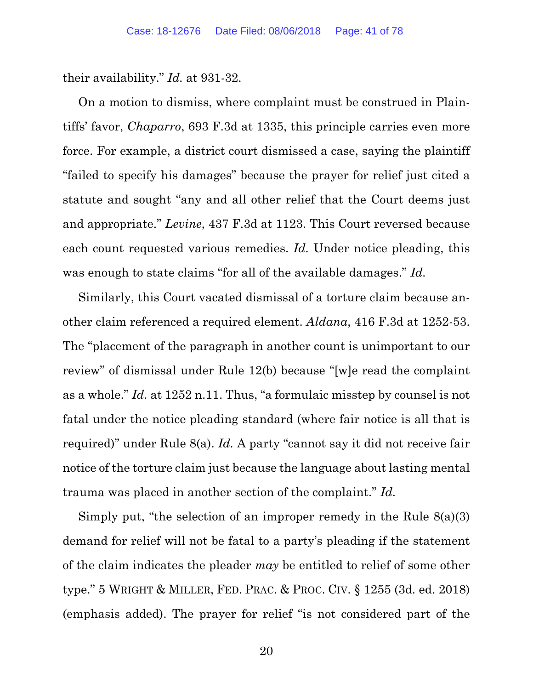their availability." *Id.* at 931-32.

On a motion to dismiss, where complaint must be construed in Plaintiffs' favor, *Chaparro*, 693 F.3d at 1335, this principle carries even more force. For example, a district court dismissed a case, saying the plaintiff "failed to specify his damages" because the prayer for relief just cited a statute and sought "any and all other relief that the Court deems just and appropriate." *Levine*, 437 F.3d at 1123. This Court reversed because each count requested various remedies. *Id.* Under notice pleading, this was enough to state claims "for all of the available damages." *Id.*

Similarly, this Court vacated dismissal of a torture claim because another claim referenced a required element. *Aldana*, 416 F.3d at 1252-53. The "placement of the paragraph in another count is unimportant to our review" of dismissal under Rule 12(b) because "[w]e read the complaint as a whole." *Id.* at 1252 n.11. Thus, "a formulaic misstep by counsel is not fatal under the notice pleading standard (where fair notice is all that is required)" under Rule 8(a). *Id.* A party "cannot say it did not receive fair notice of the torture claim just because the language about lasting mental trauma was placed in another section of the complaint." *Id.* 

Simply put, "the selection of an improper remedy in the Rule 8(a)(3) demand for relief will not be fatal to a party's pleading if the statement of the claim indicates the pleader *may* be entitled to relief of some other type." 5 WRIGHT & MILLER, FED. PRAC. & PROC. CIV. § 1255 (3d. ed. 2018) (emphasis added). The prayer for relief "is not considered part of the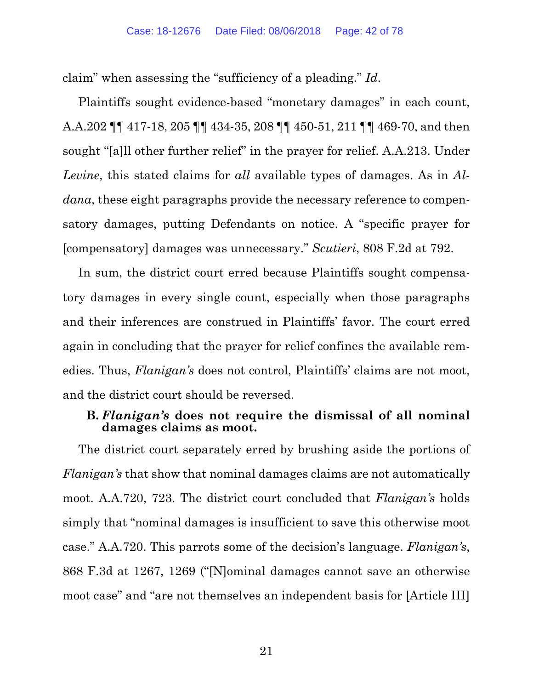claim" when assessing the "sufficiency of a pleading." *Id*.

Plaintiffs sought evidence-based "monetary damages" in each count, A.A.202 ¶¶ 417-18, 205 ¶¶ 434-35, 208 ¶¶ 450-51, 211 ¶¶ 469-70, and then sought "[a]ll other further relief" in the prayer for relief. A.A.213. Under *Levine*, this stated claims for *all* available types of damages. As in *Aldana*, these eight paragraphs provide the necessary reference to compensatory damages, putting Defendants on notice. A "specific prayer for [compensatory] damages was unnecessary." *Scutieri*, 808 F.2d at 792.

In sum, the district court erred because Plaintiffs sought compensatory damages in every single count, especially when those paragraphs and their inferences are construed in Plaintiffs' favor. The court erred again in concluding that the prayer for relief confines the available remedies. Thus, *Flanigan's* does not control, Plaintiffs' claims are not moot, and the district court should be reversed.

#### **B.** *Flanigan's* **does not require the dismissal of all nominal damages claims as moot.**

The district court separately erred by brushing aside the portions of *Flanigan's* that show that nominal damages claims are not automatically moot. A.A.720, 723. The district court concluded that *Flanigan's* holds simply that "nominal damages is insufficient to save this otherwise moot case." A.A.720. This parrots some of the decision's language. *Flanigan's*, 868 F.3d at 1267, 1269 ("[N]ominal damages cannot save an otherwise moot case" and "are not themselves an independent basis for [Article III]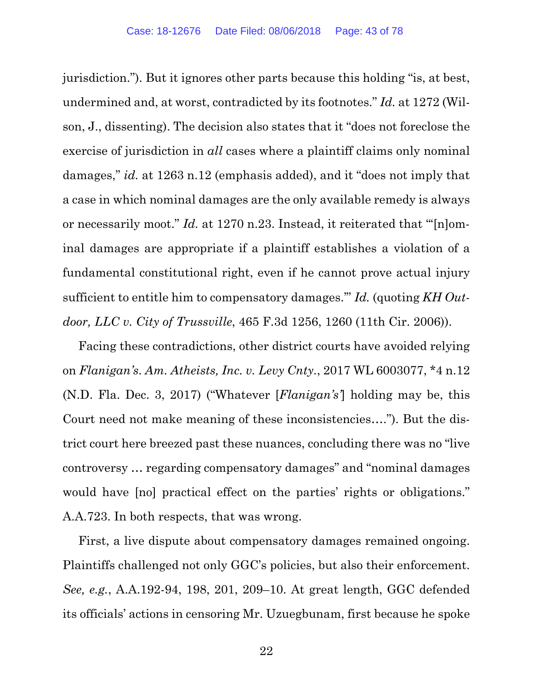jurisdiction."). But it ignores other parts because this holding "is, at best, undermined and, at worst, contradicted by its footnotes." *Id.* at 1272 (Wilson, J., dissenting). The decision also states that it "does not foreclose the exercise of jurisdiction in *all* cases where a plaintiff claims only nominal damages," *id.* at 1263 n.12 (emphasis added), and it "does not imply that a case in which nominal damages are the only available remedy is always or necessarily moot." *Id.* at 1270 n.23. Instead, it reiterated that "'[n]ominal damages are appropriate if a plaintiff establishes a violation of a fundamental constitutional right, even if he cannot prove actual injury sufficient to entitle him to compensatory damages.'" *Id.* (quoting *KH Outdoor, LLC v. City of Trussville*, 465 F.3d 1256, 1260 (11th Cir. 2006)).

Facing these contradictions, other district courts have avoided relying on *Flanigan's*. *Am. Atheists, Inc. v. Levy Cnty.*, 2017 WL 6003077, \*4 n.12 (N.D. Fla. Dec. 3, 2017) ("Whatever [*Flanigan's'*] holding may be, this Court need not make meaning of these inconsistencies…."). But the district court here breezed past these nuances, concluding there was no "live controversy … regarding compensatory damages" and "nominal damages would have [no] practical effect on the parties' rights or obligations." A.A.723. In both respects, that was wrong.

First, a live dispute about compensatory damages remained ongoing. Plaintiffs challenged not only GGC's policies, but also their enforcement. *See, e.g.*, A.A.192-94, 198, 201, 209–10. At great length, GGC defended its officials' actions in censoring Mr. Uzuegbunam, first because he spoke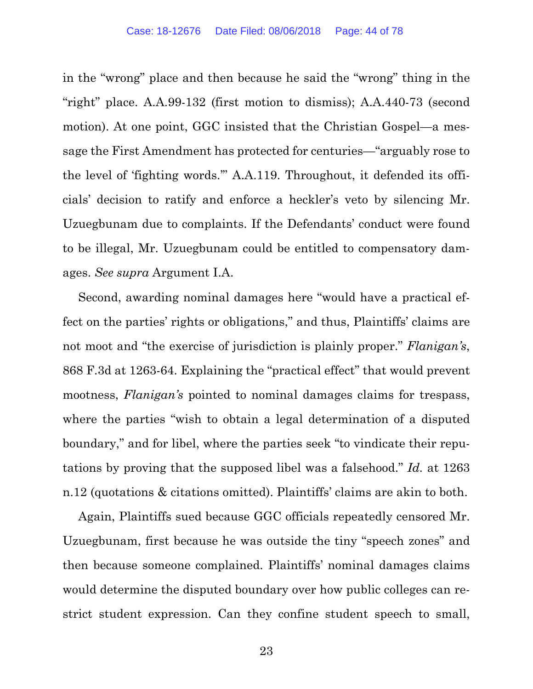in the "wrong" place and then because he said the "wrong" thing in the "right" place. A.A.99-132 (first motion to dismiss); A.A.440-73 (second motion). At one point, GGC insisted that the Christian Gospel—a message the First Amendment has protected for centuries—"arguably rose to the level of 'fighting words.'" A.A.119. Throughout, it defended its officials' decision to ratify and enforce a heckler's veto by silencing Mr. Uzuegbunam due to complaints. If the Defendants' conduct were found to be illegal, Mr. Uzuegbunam could be entitled to compensatory damages. *See supra* Argument I.A.

Second, awarding nominal damages here "would have a practical effect on the parties' rights or obligations," and thus, Plaintiffs' claims are not moot and "the exercise of jurisdiction is plainly proper." *Flanigan's*, 868 F.3d at 1263-64. Explaining the "practical effect" that would prevent mootness, *Flanigan's* pointed to nominal damages claims for trespass, where the parties "wish to obtain a legal determination of a disputed boundary," and for libel, where the parties seek "to vindicate their reputations by proving that the supposed libel was a falsehood." *Id.* at 1263 n.12 (quotations & citations omitted). Plaintiffs' claims are akin to both.

Again, Plaintiffs sued because GGC officials repeatedly censored Mr. Uzuegbunam, first because he was outside the tiny "speech zones" and then because someone complained. Plaintiffs' nominal damages claims would determine the disputed boundary over how public colleges can restrict student expression. Can they confine student speech to small,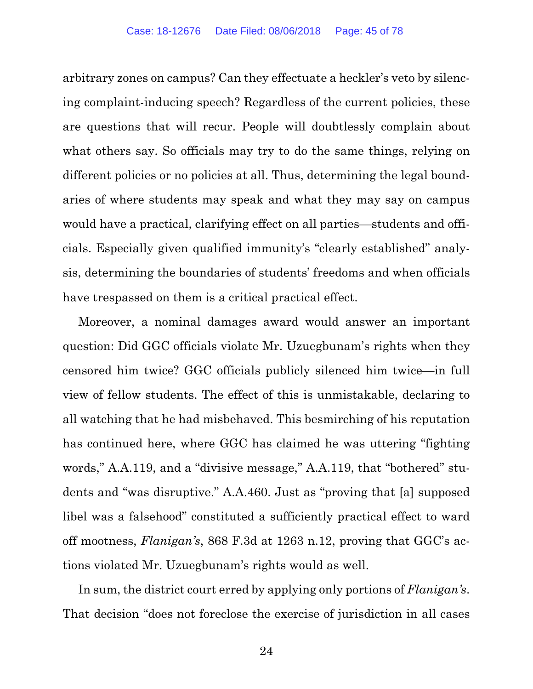arbitrary zones on campus? Can they effectuate a heckler's veto by silencing complaint-inducing speech? Regardless of the current policies, these are questions that will recur. People will doubtlessly complain about what others say. So officials may try to do the same things, relying on different policies or no policies at all. Thus, determining the legal boundaries of where students may speak and what they may say on campus would have a practical, clarifying effect on all parties—students and officials. Especially given qualified immunity's "clearly established" analysis, determining the boundaries of students' freedoms and when officials have trespassed on them is a critical practical effect.

Moreover, a nominal damages award would answer an important question: Did GGC officials violate Mr. Uzuegbunam's rights when they censored him twice? GGC officials publicly silenced him twice—in full view of fellow students. The effect of this is unmistakable, declaring to all watching that he had misbehaved. This besmirching of his reputation has continued here, where GGC has claimed he was uttering "fighting words," A.A.119, and a "divisive message," A.A.119, that "bothered" students and "was disruptive." A.A.460. Just as "proving that [a] supposed libel was a falsehood" constituted a sufficiently practical effect to ward off mootness, *Flanigan's*, 868 F.3d at 1263 n.12, proving that GGC's actions violated Mr. Uzuegbunam's rights would as well.

In sum, the district court erred by applying only portions of *Flanigan's*. That decision "does not foreclose the exercise of jurisdiction in all cases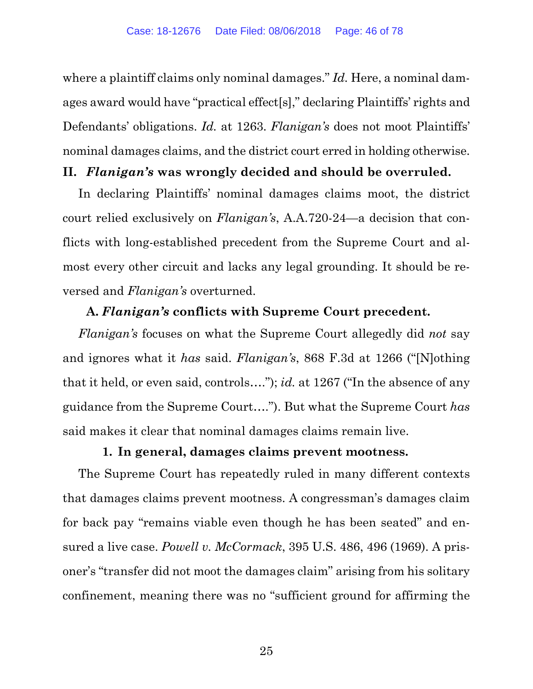where a plaintiff claims only nominal damages." *Id.* Here, a nominal damages award would have "practical effect[s]," declaring Plaintiffs' rights and Defendants' obligations. *Id.* at 1263. *Flanigan's* does not moot Plaintiffs' nominal damages claims, and the district court erred in holding otherwise.

## **II.** *Flanigan's* **was wrongly decided and should be overruled.**

In declaring Plaintiffs' nominal damages claims moot, the district court relied exclusively on *Flanigan's*, A.A.720-24—a decision that conflicts with long-established precedent from the Supreme Court and almost every other circuit and lacks any legal grounding. It should be reversed and *Flanigan's* overturned.

# **A.** *Flanigan's* **conflicts with Supreme Court precedent.**

*Flanigan's* focuses on what the Supreme Court allegedly did *not* say and ignores what it *has* said. *Flanigan's*, 868 F.3d at 1266 ("[N]othing that it held, or even said, controls…."); *id.* at 1267 ("In the absence of any guidance from the Supreme Court…."). But what the Supreme Court *has*  said makes it clear that nominal damages claims remain live.

## **1. In general, damages claims prevent mootness.**

The Supreme Court has repeatedly ruled in many different contexts that damages claims prevent mootness. A congressman's damages claim for back pay "remains viable even though he has been seated" and ensured a live case. *Powell v. McCormack*, 395 U.S. 486, 496 (1969). A prisoner's "transfer did not moot the damages claim" arising from his solitary confinement, meaning there was no "sufficient ground for affirming the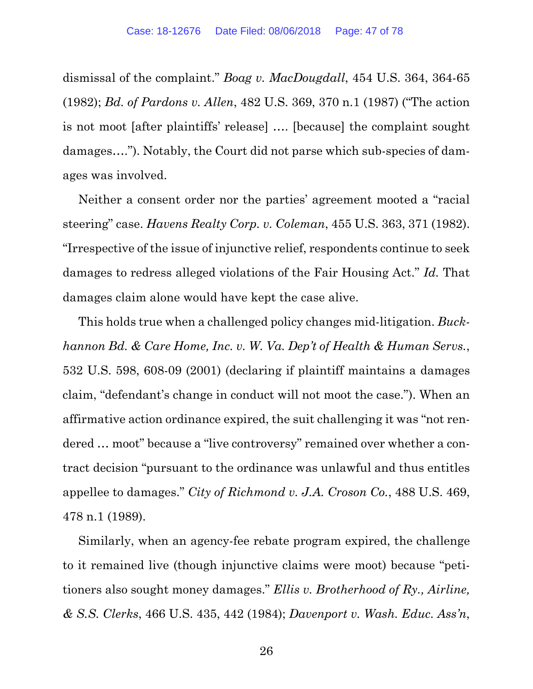dismissal of the complaint." *Boag v. MacDougdall*, 454 U.S. 364, 364-65 (1982); *Bd. of Pardons v. Allen*, 482 U.S. 369, 370 n.1 (1987) ("The action is not moot [after plaintiffs' release] …. [because] the complaint sought damages…."). Notably, the Court did not parse which sub-species of damages was involved.

Neither a consent order nor the parties' agreement mooted a "racial steering" case. *Havens Realty Corp. v. Coleman*, 455 U.S. 363, 371 (1982). "Irrespective of the issue of injunctive relief, respondents continue to seek damages to redress alleged violations of the Fair Housing Act." *Id.* That damages claim alone would have kept the case alive.

This holds true when a challenged policy changes mid-litigation. *Buckhannon Bd. & Care Home, Inc. v. W. Va. Dep't of Health & Human Servs.*, 532 U.S. 598, 608-09 (2001) (declaring if plaintiff maintains a damages claim, "defendant's change in conduct will not moot the case."). When an affirmative action ordinance expired, the suit challenging it was "not rendered … moot" because a "live controversy" remained over whether a contract decision "pursuant to the ordinance was unlawful and thus entitles appellee to damages." *City of Richmond v. J.A. Croson Co.*, 488 U.S. 469, 478 n.1 (1989).

Similarly, when an agency-fee rebate program expired, the challenge to it remained live (though injunctive claims were moot) because "petitioners also sought money damages." *Ellis v. Brotherhood of Ry., Airline, & S.S. Clerks*, 466 U.S. 435, 442 (1984); *Davenport v. Wash. Educ. Ass'n*,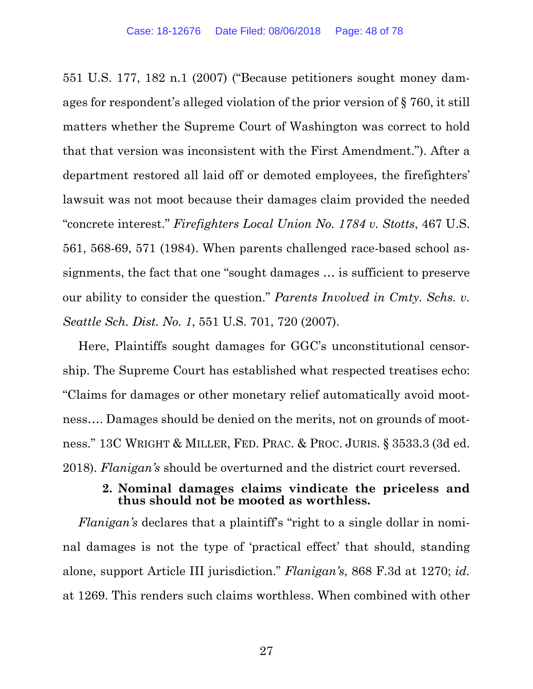551 U.S. 177, 182 n.1 (2007) ("Because petitioners sought money damages for respondent's alleged violation of the prior version of § 760, it still matters whether the Supreme Court of Washington was correct to hold that that version was inconsistent with the First Amendment."). After a department restored all laid off or demoted employees, the firefighters' lawsuit was not moot because their damages claim provided the needed "concrete interest." *Firefighters Local Union No. 1784 v. Stotts*, 467 U.S. 561, 568-69, 571 (1984). When parents challenged race-based school assignments, the fact that one "sought damages … is sufficient to preserve our ability to consider the question." *Parents Involved in Cmty. Schs. v. Seattle Sch. Dist. No. 1*, 551 U.S. 701, 720 (2007).

Here, Plaintiffs sought damages for GGC's unconstitutional censorship. The Supreme Court has established what respected treatises echo: "Claims for damages or other monetary relief automatically avoid mootness…. Damages should be denied on the merits, not on grounds of mootness." 13C WRIGHT & MILLER, FED. PRAC. & PROC. JURIS. § 3533.3 (3d ed. 2018). *Flanigan's* should be overturned and the district court reversed.

## **2. Nominal damages claims vindicate the priceless and thus should not be mooted as worthless.**

*Flanigan's* declares that a plaintiff's "right to a single dollar in nominal damages is not the type of 'practical effect' that should, standing alone, support Article III jurisdiction." *Flanigan's*, 868 F.3d at 1270; *id.* at 1269. This renders such claims worthless. When combined with other

27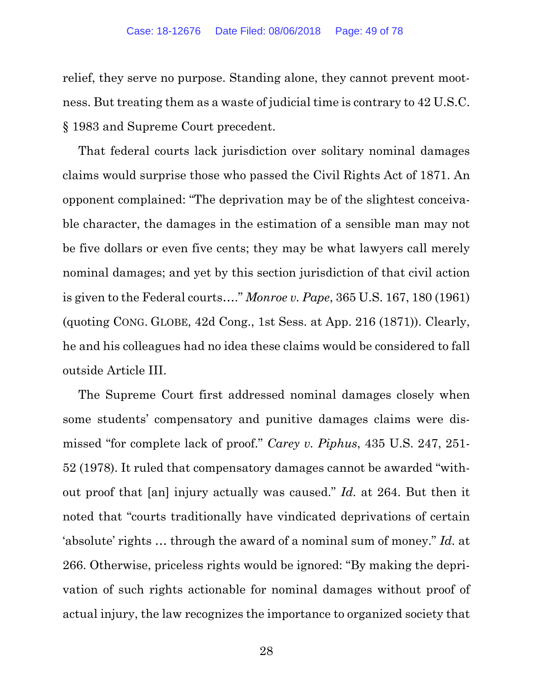relief, they serve no purpose. Standing alone, they cannot prevent mootness. But treating them as a waste of judicial time is contrary to 42 U.S.C. § 1983 and Supreme Court precedent.

That federal courts lack jurisdiction over solitary nominal damages claims would surprise those who passed the Civil Rights Act of 1871. An opponent complained: "The deprivation may be of the slightest conceivable character, the damages in the estimation of a sensible man may not be five dollars or even five cents; they may be what lawyers call merely nominal damages; and yet by this section jurisdiction of that civil action is given to the Federal courts…." *Monroe v. Pape*, 365 U.S. 167, 180 (1961) (quoting CONG. GLOBE, 42d Cong., 1st Sess. at App. 216 (1871)). Clearly, he and his colleagues had no idea these claims would be considered to fall outside Article III.

The Supreme Court first addressed nominal damages closely when some students' compensatory and punitive damages claims were dismissed "for complete lack of proof." *Carey v. Piphus*, 435 U.S. 247, 251- 52 (1978). It ruled that compensatory damages cannot be awarded "without proof that [an] injury actually was caused." *Id.* at 264. But then it noted that "courts traditionally have vindicated deprivations of certain 'absolute' rights … through the award of a nominal sum of money." *Id.* at 266. Otherwise, priceless rights would be ignored: "By making the deprivation of such rights actionable for nominal damages without proof of actual injury, the law recognizes the importance to organized society that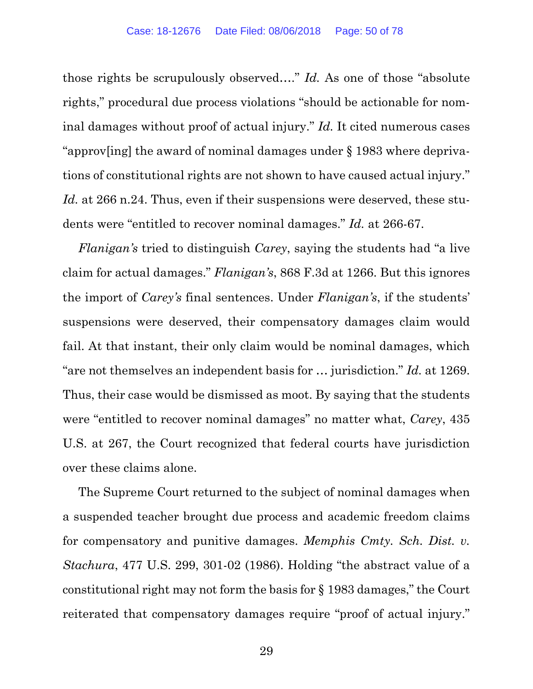those rights be scrupulously observed…." *Id.* As one of those "absolute rights," procedural due process violations "should be actionable for nominal damages without proof of actual injury." *Id.* It cited numerous cases "approv[ing] the award of nominal damages under § 1983 where deprivations of constitutional rights are not shown to have caused actual injury." Id. at 266 n.24. Thus, even if their suspensions were deserved, these students were "entitled to recover nominal damages." *Id.* at 266-67.

*Flanigan's* tried to distinguish *Carey*, saying the students had "a live claim for actual damages." *Flanigan's*, 868 F.3d at 1266. But this ignores the import of *Carey's* final sentences. Under *Flanigan's*, if the students' suspensions were deserved, their compensatory damages claim would fail. At that instant, their only claim would be nominal damages, which "are not themselves an independent basis for … jurisdiction." *Id.* at 1269. Thus, their case would be dismissed as moot. By saying that the students were "entitled to recover nominal damages" no matter what, *Carey*, 435 U.S. at 267, the Court recognized that federal courts have jurisdiction over these claims alone.

The Supreme Court returned to the subject of nominal damages when a suspended teacher brought due process and academic freedom claims for compensatory and punitive damages. *Memphis Cmty. Sch. Dist. v. Stachura*, 477 U.S. 299, 301-02 (1986). Holding "the abstract value of a constitutional right may not form the basis for § 1983 damages," the Court reiterated that compensatory damages require "proof of actual injury."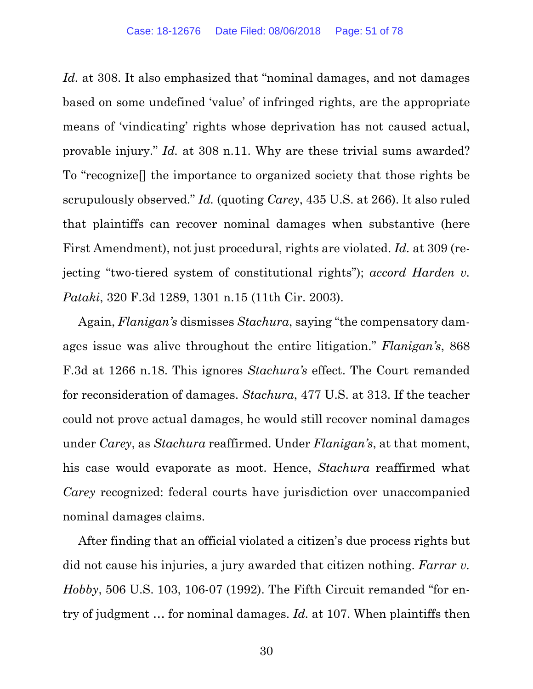Id. at 308. It also emphasized that "nominal damages, and not damages" based on some undefined 'value' of infringed rights, are the appropriate means of 'vindicating' rights whose deprivation has not caused actual, provable injury." *Id.* at 308 n.11. Why are these trivial sums awarded? To "recognize[] the importance to organized society that those rights be scrupulously observed." *Id.* (quoting *Carey*, 435 U.S. at 266). It also ruled that plaintiffs can recover nominal damages when substantive (here First Amendment), not just procedural, rights are violated. *Id.* at 309 (rejecting "two-tiered system of constitutional rights"); *accord Harden v. Pataki*, 320 F.3d 1289, 1301 n.15 (11th Cir. 2003).

Again, *Flanigan's* dismisses *Stachura*, saying "the compensatory damages issue was alive throughout the entire litigation." *Flanigan's*, 868 F.3d at 1266 n.18. This ignores *Stachura's* effect. The Court remanded for reconsideration of damages. *Stachura*, 477 U.S. at 313. If the teacher could not prove actual damages, he would still recover nominal damages under *Carey*, as *Stachura* reaffirmed. Under *Flanigan's*, at that moment, his case would evaporate as moot. Hence, *Stachura* reaffirmed what *Carey* recognized: federal courts have jurisdiction over unaccompanied nominal damages claims.

After finding that an official violated a citizen's due process rights but did not cause his injuries, a jury awarded that citizen nothing. *Farrar v. Hobby*, 506 U.S. 103, 106-07 (1992). The Fifth Circuit remanded "for entry of judgment … for nominal damages. *Id.* at 107. When plaintiffs then

30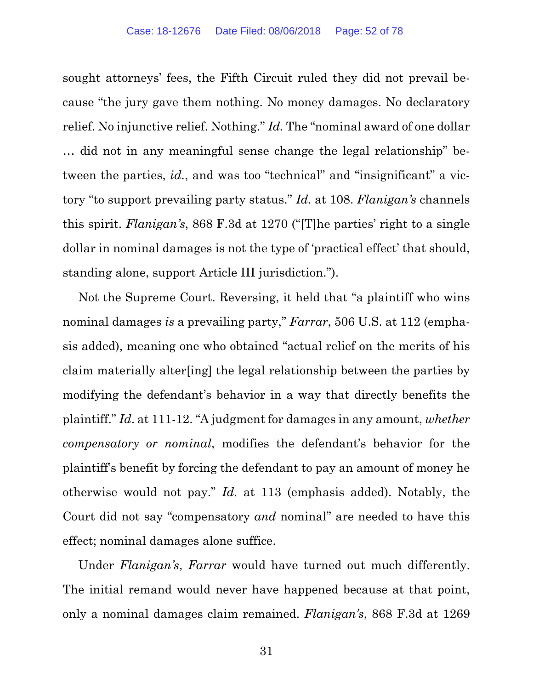sought attorneys' fees, the Fifth Circuit ruled they did not prevail because "the jury gave them nothing. No money damages. No declaratory relief. No injunctive relief. Nothing." *Id.* The "nominal award of one dollar … did not in any meaningful sense change the legal relationship" between the parties, *id.*, and was too "technical" and "insignificant" a victory "to support prevailing party status." *Id.* at 108. *Flanigan's* channels this spirit. *Flanigan's*, 868 F.3d at 1270 ("[T]he parties' right to a single dollar in nominal damages is not the type of 'practical effect' that should, standing alone, support Article III jurisdiction.").

Not the Supreme Court. Reversing, it held that "a plaintiff who wins nominal damages *is* a prevailing party," *Farrar*, 506 U.S. at 112 (emphasis added), meaning one who obtained "actual relief on the merits of his claim materially alter[ing] the legal relationship between the parties by modifying the defendant's behavior in a way that directly benefits the plaintiff." *Id*. at 111-12. "A judgment for damages in any amount, *whether compensatory or nominal*, modifies the defendant's behavior for the plaintiff's benefit by forcing the defendant to pay an amount of money he otherwise would not pay." *Id.* at 113 (emphasis added). Notably, the Court did not say "compensatory *and* nominal" are needed to have this effect; nominal damages alone suffice.

Under *Flanigan's*, *Farrar* would have turned out much differently. The initial remand would never have happened because at that point, only a nominal damages claim remained. *Flanigan's*, 868 F.3d at 1269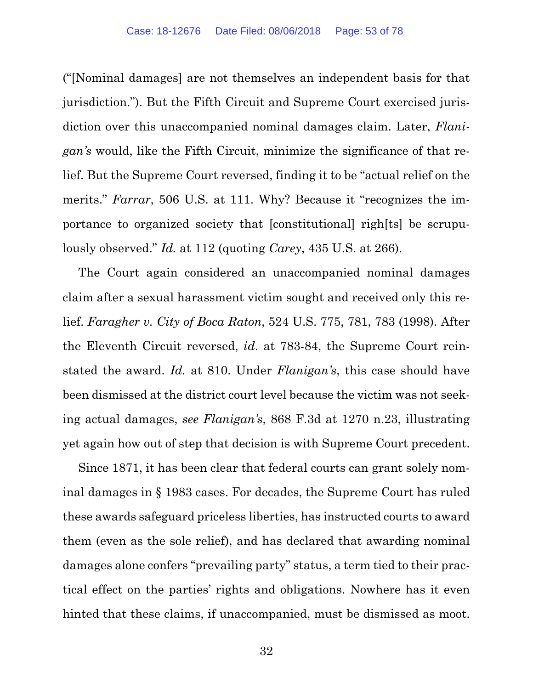("[Nominal damages] are not themselves an independent basis for that jurisdiction."). But the Fifth Circuit and Supreme Court exercised jurisdiction over this unaccompanied nominal damages claim. Later, *Flanigan's* would, like the Fifth Circuit, minimize the significance of that relief. But the Supreme Court reversed, finding it to be "actual relief on the merits." *Farrar*, 506 U.S. at 111. Why? Because it "recognizes the importance to organized society that [constitutional] righ[ts] be scrupulously observed." *Id.* at 112 (quoting *Carey*, 435 U.S. at 266).

The Court again considered an unaccompanied nominal damages claim after a sexual harassment victim sought and received only this relief. *Faragher v. City of Boca Raton*, 524 U.S. 775, 781, 783 (1998). After the Eleventh Circuit reversed, *id*. at 783-84, the Supreme Court reinstated the award. *Id.* at 810. Under *Flanigan's*, this case should have been dismissed at the district court level because the victim was not seeking actual damages, *see Flanigan's*, 868 F.3d at 1270 n.23, illustrating yet again how out of step that decision is with Supreme Court precedent.

Since 1871, it has been clear that federal courts can grant solely nominal damages in § 1983 cases. For decades, the Supreme Court has ruled these awards safeguard priceless liberties, has instructed courts to award them (even as the sole relief), and has declared that awarding nominal damages alone confers "prevailing party" status, a term tied to their practical effect on the parties' rights and obligations. Nowhere has it even hinted that these claims, if unaccompanied, must be dismissed as moot.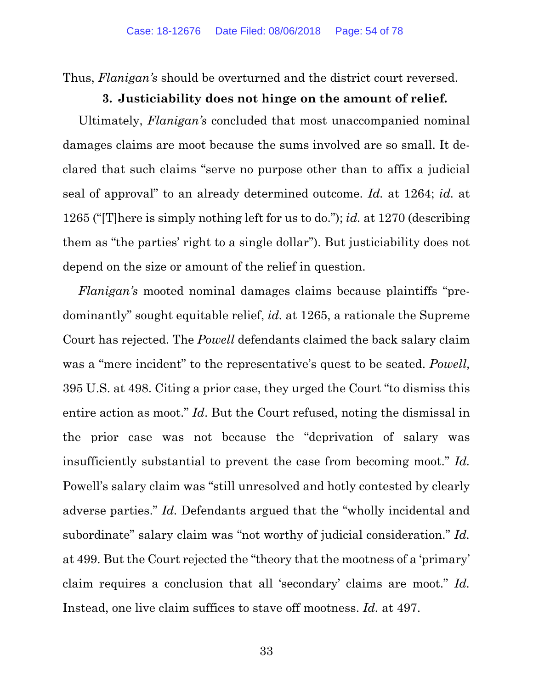Thus, *Flanigan's* should be overturned and the district court reversed.

#### **3. Justiciability does not hinge on the amount of relief.**

Ultimately, *Flanigan's* concluded that most unaccompanied nominal damages claims are moot because the sums involved are so small. It declared that such claims "serve no purpose other than to affix a judicial seal of approval" to an already determined outcome. *Id.* at 1264; *id.* at 1265 ("[T]here is simply nothing left for us to do."); *id.* at 1270 (describing them as "the parties' right to a single dollar"). But justiciability does not depend on the size or amount of the relief in question.

*Flanigan's* mooted nominal damages claims because plaintiffs "predominantly" sought equitable relief, *id.* at 1265, a rationale the Supreme Court has rejected. The *Powell* defendants claimed the back salary claim was a "mere incident" to the representative's quest to be seated. *Powell*, 395 U.S. at 498. Citing a prior case, they urged the Court "to dismiss this entire action as moot." *Id*. But the Court refused, noting the dismissal in the prior case was not because the "deprivation of salary was insufficiently substantial to prevent the case from becoming moot." *Id.* Powell's salary claim was "still unresolved and hotly contested by clearly adverse parties." *Id.* Defendants argued that the "wholly incidental and subordinate" salary claim was "not worthy of judicial consideration." *Id.* at 499. But the Court rejected the "theory that the mootness of a 'primary' claim requires a conclusion that all 'secondary' claims are moot." *Id.* Instead, one live claim suffices to stave off mootness. *Id.* at 497.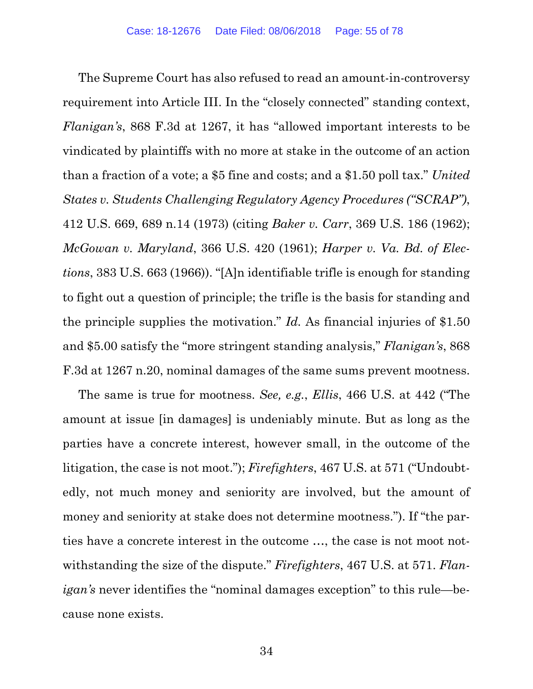The Supreme Court has also refused to read an amount-in-controversy requirement into Article III. In the "closely connected" standing context, *Flanigan's*, 868 F.3d at 1267, it has "allowed important interests to be vindicated by plaintiffs with no more at stake in the outcome of an action than a fraction of a vote; a \$5 fine and costs; and a \$1.50 poll tax." *United States v. Students Challenging Regulatory Agency Procedures ("SCRAP")*, 412 U.S. 669, 689 n.14 (1973) (citing *Baker v. Carr*, 369 U.S. 186 (1962); *McGowan v. Maryland*, 366 U.S. 420 (1961); *Harper v. Va. Bd. of Elections*, 383 U.S. 663 (1966)). "[A]n identifiable trifle is enough for standing to fight out a question of principle; the trifle is the basis for standing and the principle supplies the motivation." *Id.* As financial injuries of \$1.50 and \$5.00 satisfy the "more stringent standing analysis," *Flanigan's*, 868 F.3d at 1267 n.20, nominal damages of the same sums prevent mootness.

The same is true for mootness. *See, e.g.*, *Ellis*, 466 U.S. at 442 ("The amount at issue [in damages] is undeniably minute. But as long as the parties have a concrete interest, however small, in the outcome of the litigation, the case is not moot."); *Firefighters*, 467 U.S. at 571 ("Undoubtedly, not much money and seniority are involved, but the amount of money and seniority at stake does not determine mootness."). If "the parties have a concrete interest in the outcome …, the case is not moot notwithstanding the size of the dispute." *Firefighters*, 467 U.S. at 571. *Flanigan's* never identifies the "nominal damages exception" to this rule—because none exists.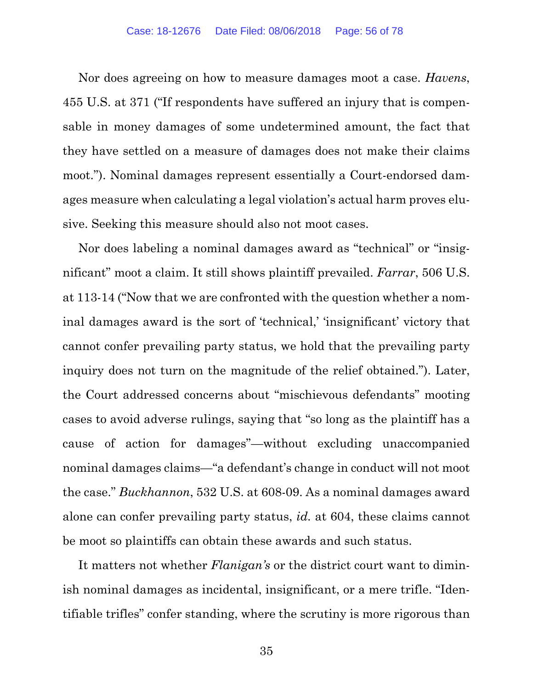Nor does agreeing on how to measure damages moot a case. *Havens*, 455 U.S. at 371 ("If respondents have suffered an injury that is compensable in money damages of some undetermined amount, the fact that they have settled on a measure of damages does not make their claims moot."). Nominal damages represent essentially a Court-endorsed damages measure when calculating a legal violation's actual harm proves elusive. Seeking this measure should also not moot cases.

Nor does labeling a nominal damages award as "technical" or "insignificant" moot a claim. It still shows plaintiff prevailed. *Farrar*, 506 U.S. at 113-14 ("Now that we are confronted with the question whether a nominal damages award is the sort of 'technical,' 'insignificant' victory that cannot confer prevailing party status, we hold that the prevailing party inquiry does not turn on the magnitude of the relief obtained."). Later, the Court addressed concerns about "mischievous defendants" mooting cases to avoid adverse rulings, saying that "so long as the plaintiff has a cause of action for damages"—without excluding unaccompanied nominal damages claims—"a defendant's change in conduct will not moot the case." *Buckhannon*, 532 U.S. at 608-09. As a nominal damages award alone can confer prevailing party status, *id.* at 604, these claims cannot be moot so plaintiffs can obtain these awards and such status.

It matters not whether *Flanigan's* or the district court want to diminish nominal damages as incidental, insignificant, or a mere trifle. "Identifiable trifles" confer standing, where the scrutiny is more rigorous than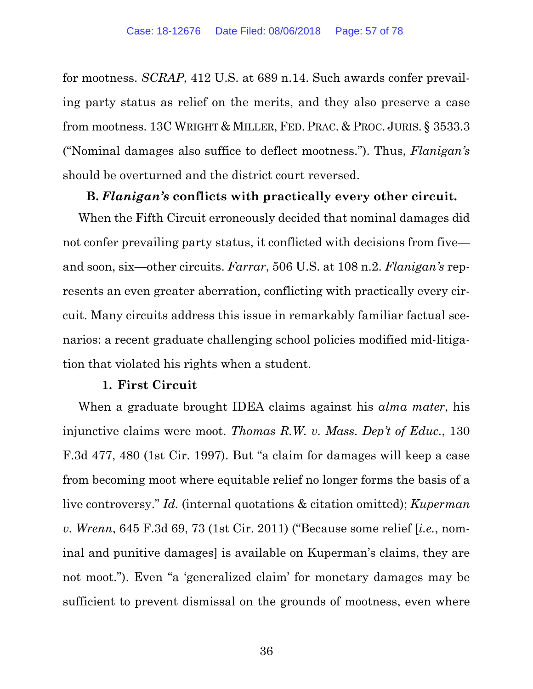for mootness. *SCRAP*, 412 U.S. at 689 n.14. Such awards confer prevailing party status as relief on the merits, and they also preserve a case from mootness. 13C WRIGHT & MILLER, FED. PRAC. & PROC. JURIS. § 3533.3 ("Nominal damages also suffice to deflect mootness."). Thus, *Flanigan's*  should be overturned and the district court reversed.

## **B.** *Flanigan's* **conflicts with practically every other circuit.**

When the Fifth Circuit erroneously decided that nominal damages did not confer prevailing party status, it conflicted with decisions from five and soon, six—other circuits. *Farrar*, 506 U.S. at 108 n.2. *Flanigan's* represents an even greater aberration, conflicting with practically every circuit. Many circuits address this issue in remarkably familiar factual scenarios: a recent graduate challenging school policies modified mid-litigation that violated his rights when a student.

#### **1. First Circuit**

When a graduate brought IDEA claims against his *alma mater*, his injunctive claims were moot. *Thomas R.W. v. Mass. Dep't of Educ.*, 130 F.3d 477, 480 (1st Cir. 1997). But "a claim for damages will keep a case from becoming moot where equitable relief no longer forms the basis of a live controversy." *Id.* (internal quotations & citation omitted); *Kuperman v. Wrenn*, 645 F.3d 69, 73 (1st Cir. 2011) ("Because some relief [*i.e.*, nominal and punitive damages] is available on Kuperman's claims, they are not moot."). Even "a 'generalized claim' for monetary damages may be sufficient to prevent dismissal on the grounds of mootness, even where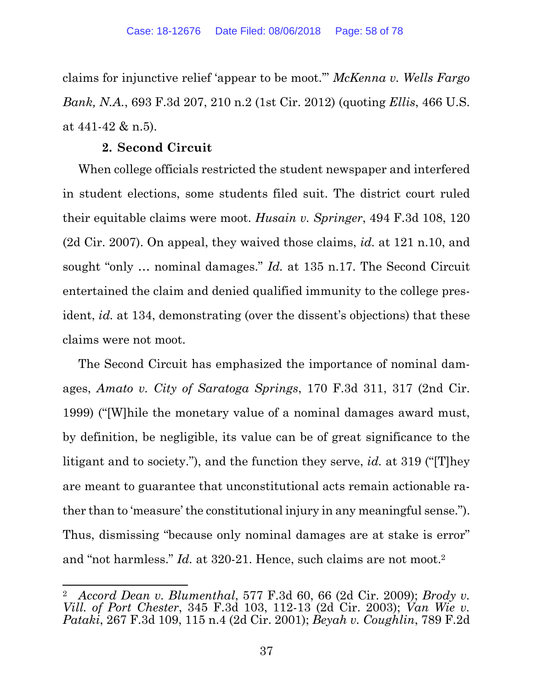claims for injunctive relief 'appear to be moot.'" *McKenna v. Wells Fargo Bank, N.A.*, 693 F.3d 207, 210 n.2 (1st Cir. 2012) (quoting *Ellis*, 466 U.S. at 441-42 & n.5).

# **2. Second Circuit**

When college officials restricted the student newspaper and interfered in student elections, some students filed suit. The district court ruled their equitable claims were moot. *Husain v. Springer*, 494 F.3d 108, 120 (2d Cir. 2007). On appeal, they waived those claims, *id.* at 121 n.10, and sought "only … nominal damages." *Id.* at 135 n.17. The Second Circuit entertained the claim and denied qualified immunity to the college president, *id.* at 134, demonstrating (over the dissent's objections) that these claims were not moot.

The Second Circuit has emphasized the importance of nominal damages, *Amato v. City of Saratoga Springs*, 170 F.3d 311, 317 (2nd Cir. 1999) ("[W]hile the monetary value of a nominal damages award must, by definition, be negligible, its value can be of great significance to the litigant and to society."), and the function they serve, *id.* at 319 ("[T]hey are meant to guarantee that unconstitutional acts remain actionable rather than to 'measure' the constitutional injury in any meaningful sense."). Thus, dismissing "because only nominal damages are at stake is error" and "not harmless." *Id.* at 320-21. Hence, such claims are not moot.2

 2 *Accord Dean v. Blumenthal*, 577 F.3d 60, 66 (2d Cir. 2009); *Brody v. Vill. of Port Chester*, 345 F.3d 103, 112-13 (2d Cir. 2003); *Van Wie v. Pataki*, 267 F.3d 109, 115 n.4 (2d Cir. 2001); *Beyah v. Coughlin*, 789 F.2d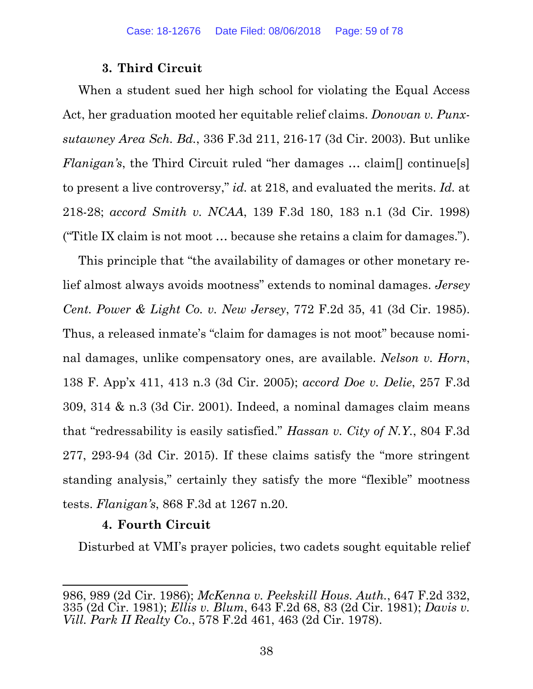## **3. Third Circuit**

When a student sued her high school for violating the Equal Access Act, her graduation mooted her equitable relief claims. *Donovan v. Punxsutawney Area Sch. Bd.*, 336 F.3d 211, 216-17 (3d Cir. 2003). But unlike *Flanigan's*, the Third Circuit ruled "her damages ... claim<sup>[]</sup> continue<sup>[5]</sup> to present a live controversy," *id.* at 218, and evaluated the merits. *Id.* at 218-28; *accord Smith v. NCAA*, 139 F.3d 180, 183 n.1 (3d Cir. 1998) ("Title IX claim is not moot … because she retains a claim for damages.").

This principle that "the availability of damages or other monetary relief almost always avoids mootness" extends to nominal damages. *Jersey Cent. Power & Light Co. v. New Jersey*, 772 F.2d 35, 41 (3d Cir. 1985). Thus, a released inmate's "claim for damages is not moot" because nominal damages, unlike compensatory ones, are available. *Nelson v. Horn*, 138 F. App'x 411, 413 n.3 (3d Cir. 2005); *accord Doe v. Delie*, 257 F.3d 309, 314 & n.3 (3d Cir. 2001). Indeed, a nominal damages claim means that "redressability is easily satisfied." *Hassan v. City of N.Y.*, 804 F.3d 277, 293-94 (3d Cir. 2015). If these claims satisfy the "more stringent standing analysis," certainly they satisfy the more "flexible" mootness tests. *Flanigan's*, 868 F.3d at 1267 n.20.

#### **4. Fourth Circuit**

Disturbed at VMI's prayer policies, two cadets sought equitable relief

<sup>986, 989 (2</sup>d Cir. 1986); *McKenna v. Peekskill Hous. Auth.*, 647 F.2d 332, 335 (2d Cir. 1981); *Ellis v. Blum*, 643 F.2d 68, 83 (2d Cir. 1981); *Davis v. Vill. Park II Realty Co.*, 578 F.2d 461, 463 (2d Cir. 1978).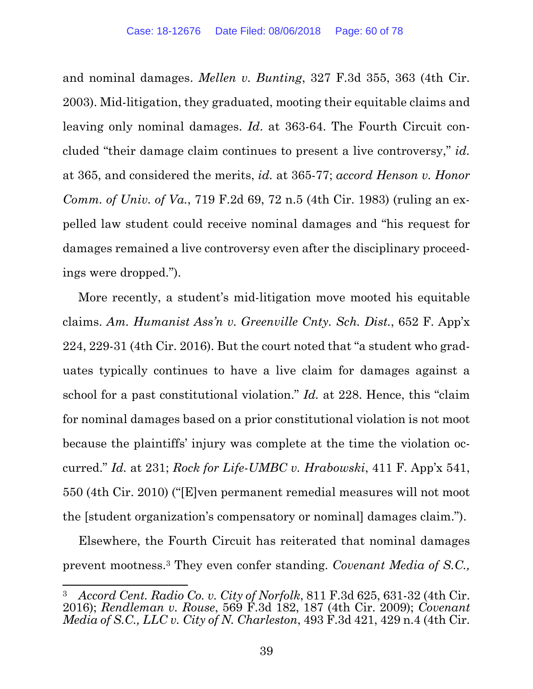and nominal damages. *Mellen v. Bunting*, 327 F.3d 355, 363 (4th Cir. 2003). Mid-litigation, they graduated, mooting their equitable claims and leaving only nominal damages. *Id*. at 363-64. The Fourth Circuit concluded "their damage claim continues to present a live controversy," *id.* at 365, and considered the merits, *id.* at 365-77; *accord Henson v. Honor Comm. of Univ. of Va.*, 719 F.2d 69, 72 n.5 (4th Cir. 1983) (ruling an expelled law student could receive nominal damages and "his request for damages remained a live controversy even after the disciplinary proceedings were dropped.").

More recently, a student's mid-litigation move mooted his equitable claims. *Am. Humanist Ass'n v. Greenville Cnty. Sch. Dist.*, 652 F. App'x 224, 229-31 (4th Cir. 2016). But the court noted that "a student who graduates typically continues to have a live claim for damages against a school for a past constitutional violation." *Id.* at 228. Hence, this "claim for nominal damages based on a prior constitutional violation is not moot because the plaintiffs' injury was complete at the time the violation occurred." *Id.* at 231; *Rock for Life-UMBC v. Hrabowski*, 411 F. App'x 541, 550 (4th Cir. 2010) ("[E]ven permanent remedial measures will not moot the [student organization's compensatory or nominal] damages claim.").

Elsewhere, the Fourth Circuit has reiterated that nominal damages prevent mootness.3 They even confer standing. *Covenant Media of S.C.,* 

<sup>3</sup> *Accord Cent. Radio Co. v. City of Norfolk*, 811 F.3d 625, 631-32 (4th Cir. 2016); *Rendleman v. Rouse*, 569 F.3d 182, 187 (4th Cir. 2009); *Covenant Media of S.C., LLC v. City of N. Charleston*, 493 F.3d 421, 429 n.4 (4th Cir.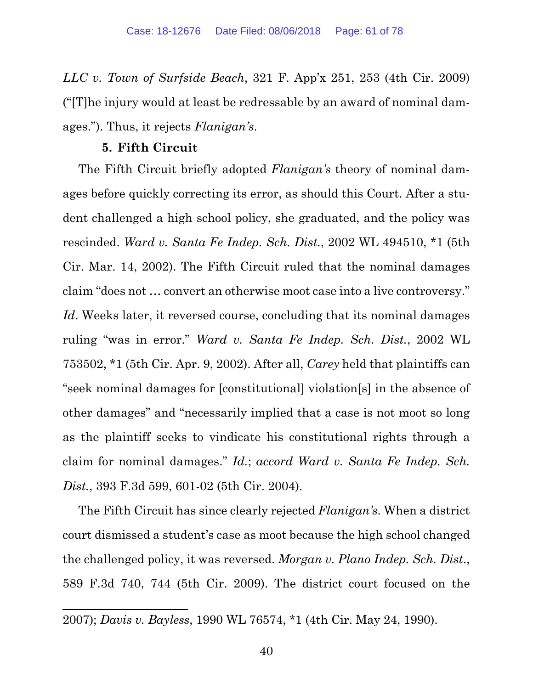*LLC v. Town of Surfside Beach*, 321 F. App'x 251, 253 (4th Cir. 2009) ("[T]he injury would at least be redressable by an award of nominal damages."). Thus, it rejects *Flanigan's*.

#### **5. Fifth Circuit**

The Fifth Circuit briefly adopted *Flanigan's* theory of nominal damages before quickly correcting its error, as should this Court. After a student challenged a high school policy, she graduated, and the policy was rescinded. *Ward v. Santa Fe Indep. Sch. Dist.*, 2002 WL 494510, \*1 (5th Cir. Mar. 14, 2002). The Fifth Circuit ruled that the nominal damages claim "does not … convert an otherwise moot case into a live controversy." Id. Weeks later, it reversed course, concluding that its nominal damages ruling "was in error." *Ward v. Santa Fe Indep. Sch. Dist.*, 2002 WL 753502, \*1 (5th Cir. Apr. 9, 2002). After all, *Carey* held that plaintiffs can "seek nominal damages for [constitutional] violation[s] in the absence of other damages" and "necessarily implied that a case is not moot so long as the plaintiff seeks to vindicate his constitutional rights through a claim for nominal damages." *Id.*; *accord Ward v. Santa Fe Indep. Sch. Dist.*, 393 F.3d 599, 601-02 (5th Cir. 2004).

The Fifth Circuit has since clearly rejected *Flanigan's*. When a district court dismissed a student's case as moot because the high school changed the challenged policy, it was reversed. *Morgan v. Plano Indep. Sch. Dist*., 589 F.3d 740, 744 (5th Cir. 2009). The district court focused on the

 2007); *Davis v. Bayless*, 1990 WL 76574, \*1 (4th Cir. May 24, 1990).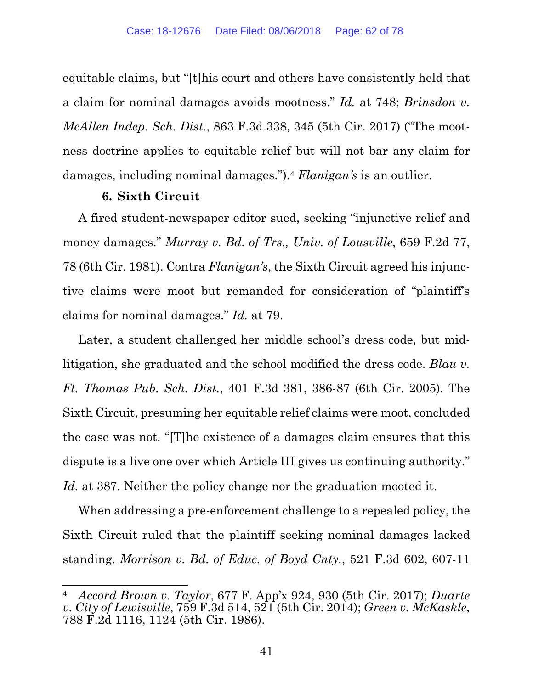equitable claims, but "[t]his court and others have consistently held that a claim for nominal damages avoids mootness." *Id.* at 748; *Brinsdon v. McAllen Indep. Sch. Dist.*, 863 F.3d 338, 345 (5th Cir. 2017) ("The mootness doctrine applies to equitable relief but will not bar any claim for damages, including nominal damages.").4 *Flanigan's* is an outlier.

#### **6. Sixth Circuit**

A fired student-newspaper editor sued, seeking "injunctive relief and money damages." *Murray v. Bd. of Trs., Univ. of Lousville*, 659 F.2d 77, 78 (6th Cir. 1981). Contra *Flanigan's*, the Sixth Circuit agreed his injunctive claims were moot but remanded for consideration of "plaintiff's claims for nominal damages." *Id.* at 79.

Later, a student challenged her middle school's dress code, but midlitigation, she graduated and the school modified the dress code. *Blau v. Ft. Thomas Pub. Sch. Dist.*, 401 F.3d 381, 386-87 (6th Cir. 2005). The Sixth Circuit, presuming her equitable relief claims were moot, concluded the case was not. "[T]he existence of a damages claim ensures that this dispute is a live one over which Article III gives us continuing authority." Id. at 387. Neither the policy change nor the graduation mooted it.

When addressing a pre-enforcement challenge to a repealed policy, the Sixth Circuit ruled that the plaintiff seeking nominal damages lacked standing. *Morrison v. Bd. of Educ. of Boyd Cnty.*, 521 F.3d 602, 607-11

 4 *Accord Brown v. Taylor*, 677 F. App'x 924, 930 (5th Cir. 2017); *Duarte v. City of Lewisville*, 759 F.3d 514, 521 (5th Cir. 2014); *Green v. McKaskle*, 788 F.2d 1116, 1124 (5th Cir. 1986).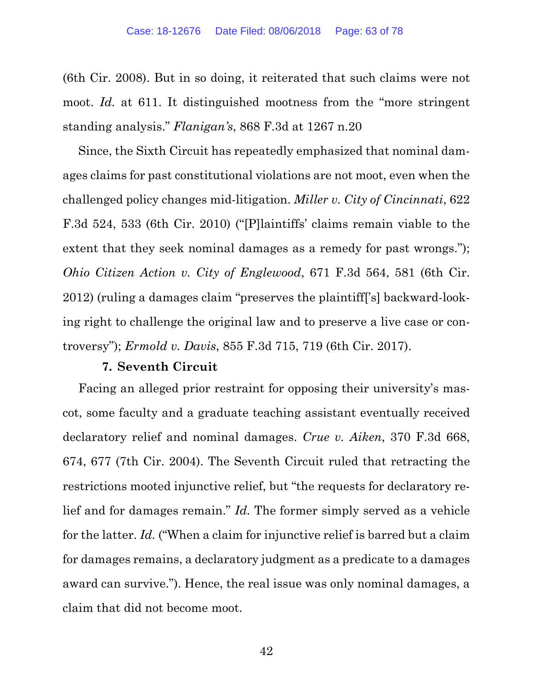(6th Cir. 2008). But in so doing, it reiterated that such claims were not moot. *Id.* at 611. It distinguished mootness from the "more stringent" standing analysis." *Flanigan's*, 868 F.3d at 1267 n.20

Since, the Sixth Circuit has repeatedly emphasized that nominal damages claims for past constitutional violations are not moot, even when the challenged policy changes mid-litigation. *Miller v. City of Cincinnati*, 622 F.3d 524, 533 (6th Cir. 2010) ("[P]laintiffs' claims remain viable to the extent that they seek nominal damages as a remedy for past wrongs."); *Ohio Citizen Action v. City of Englewood*, 671 F.3d 564, 581 (6th Cir. 2012) (ruling a damages claim "preserves the plaintiff['s] backward-looking right to challenge the original law and to preserve a live case or controversy"); *Ermold v. Davis*, 855 F.3d 715, 719 (6th Cir. 2017).

#### **7. Seventh Circuit**

Facing an alleged prior restraint for opposing their university's mascot, some faculty and a graduate teaching assistant eventually received declaratory relief and nominal damages. *Crue v. Aiken*, 370 F.3d 668, 674, 677 (7th Cir. 2004). The Seventh Circuit ruled that retracting the restrictions mooted injunctive relief, but "the requests for declaratory relief and for damages remain." *Id.* The former simply served as a vehicle for the latter. *Id.* ("When a claim for injunctive relief is barred but a claim for damages remains, a declaratory judgment as a predicate to a damages award can survive."). Hence, the real issue was only nominal damages, a claim that did not become moot.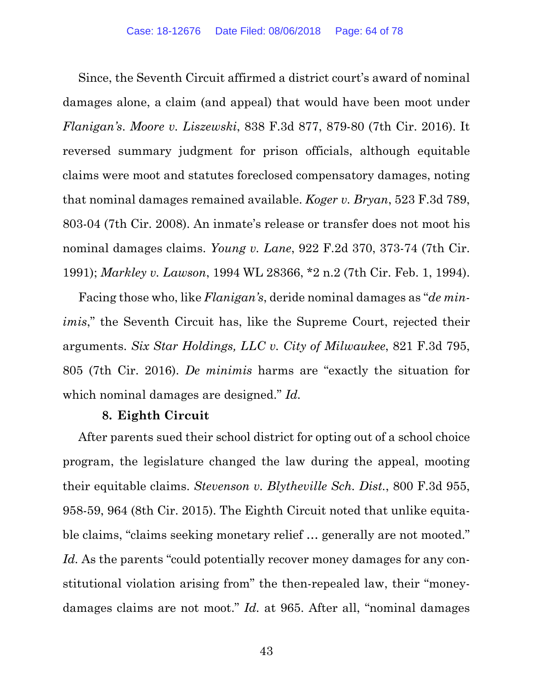Since, the Seventh Circuit affirmed a district court's award of nominal damages alone, a claim (and appeal) that would have been moot under *Flanigan's*. *Moore v. Liszewski*, 838 F.3d 877, 879-80 (7th Cir. 2016). It reversed summary judgment for prison officials, although equitable claims were moot and statutes foreclosed compensatory damages, noting that nominal damages remained available. *Koger v. Bryan*, 523 F.3d 789, 803-04 (7th Cir. 2008). An inmate's release or transfer does not moot his nominal damages claims. *Young v. Lane*, 922 F.2d 370, 373-74 (7th Cir. 1991); *Markley v. Lawson*, 1994 WL 28366, \*2 n.2 (7th Cir. Feb. 1, 1994).

Facing those who, like *Flanigan's*, deride nominal damages as "*de minimis*," the Seventh Circuit has, like the Supreme Court, rejected their arguments. *Six Star Holdings, LLC v. City of Milwaukee*, 821 F.3d 795, 805 (7th Cir. 2016). *De minimis* harms are "exactly the situation for which nominal damages are designed." *Id.* 

#### **8. Eighth Circuit**

After parents sued their school district for opting out of a school choice program, the legislature changed the law during the appeal, mooting their equitable claims. *Stevenson v. Blytheville Sch. Dist.*, 800 F.3d 955, 958-59, 964 (8th Cir. 2015). The Eighth Circuit noted that unlike equitable claims, "claims seeking monetary relief … generally are not mooted." *Id.* As the parents "could potentially recover money damages for any constitutional violation arising from" the then-repealed law, their "moneydamages claims are not moot." *Id.* at 965. After all, "nominal damages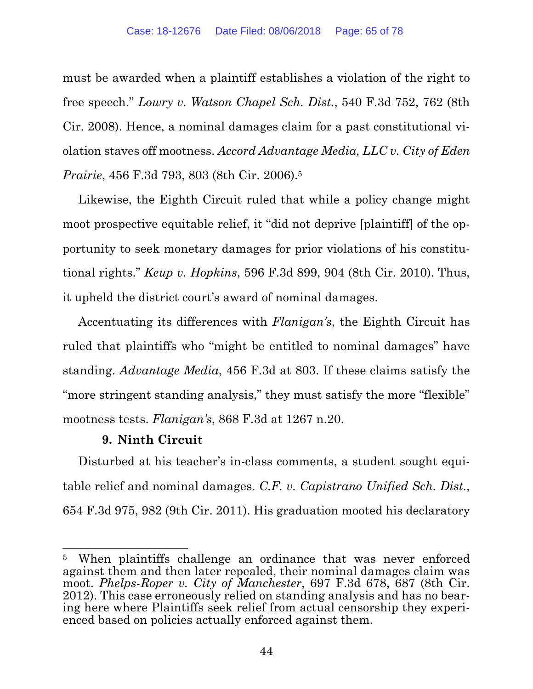must be awarded when a plaintiff establishes a violation of the right to free speech." *Lowry v. Watson Chapel Sch. Dist.*, 540 F.3d 752, 762 (8th Cir. 2008). Hence, a nominal damages claim for a past constitutional violation staves off mootness. *Accord Advantage Media, LLC v. City of Eden Prairie*, 456 F.3d 793, 803 (8th Cir. 2006).5

Likewise, the Eighth Circuit ruled that while a policy change might moot prospective equitable relief, it "did not deprive [plaintiff] of the opportunity to seek monetary damages for prior violations of his constitutional rights." *Keup v. Hopkins*, 596 F.3d 899, 904 (8th Cir. 2010). Thus, it upheld the district court's award of nominal damages.

Accentuating its differences with *Flanigan's*, the Eighth Circuit has ruled that plaintiffs who "might be entitled to nominal damages" have standing. *Advantage Media*, 456 F.3d at 803. If these claims satisfy the "more stringent standing analysis," they must satisfy the more "flexible" mootness tests. *Flanigan's*, 868 F.3d at 1267 n.20.

# **9. Ninth Circuit**

Disturbed at his teacher's in-class comments, a student sought equitable relief and nominal damages. *C.F. v. Capistrano Unified Sch. Dist.*, 654 F.3d 975, 982 (9th Cir. 2011). His graduation mooted his declaratory

 <sup>5</sup> When plaintiffs challenge an ordinance that was never enforced against them and then later repealed, their nominal damages claim was moot. *Phelps-Roper v. City of Manchester*, 697 F.3d 678, 687 (8th Cir. 2012). This case erroneously relied on standing analysis and has no bearing here where Plaintiffs seek relief from actual censorship they experienced based on policies actually enforced against them.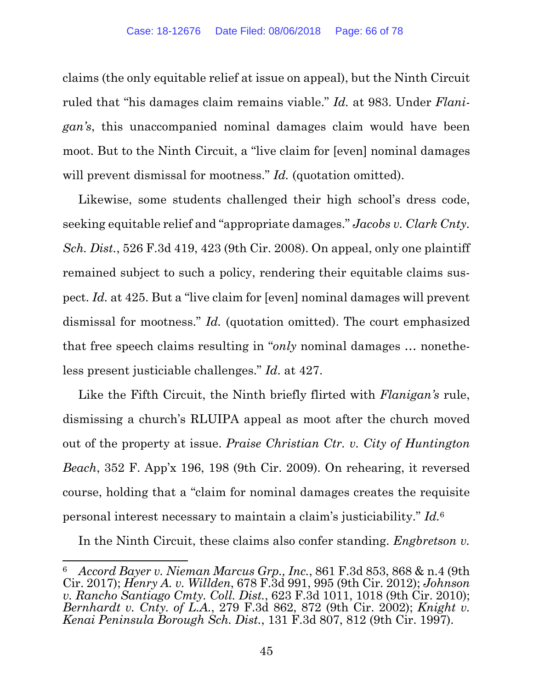claims (the only equitable relief at issue on appeal), but the Ninth Circuit ruled that "his damages claim remains viable." *Id.* at 983. Under *Flanigan's*, this unaccompanied nominal damages claim would have been moot. But to the Ninth Circuit, a "live claim for [even] nominal damages will prevent dismissal for mootness." *Id.* (quotation omitted).

Likewise, some students challenged their high school's dress code, seeking equitable relief and "appropriate damages." *Jacobs v. Clark Cnty. Sch. Dist.*, 526 F.3d 419, 423 (9th Cir. 2008). On appeal, only one plaintiff remained subject to such a policy, rendering their equitable claims suspect. *Id.* at 425. But a "live claim for [even] nominal damages will prevent dismissal for mootness." *Id.* (quotation omitted). The court emphasized that free speech claims resulting in "*only* nominal damages … nonetheless present justiciable challenges." *Id*. at 427.

Like the Fifth Circuit, the Ninth briefly flirted with *Flanigan's* rule, dismissing a church's RLUIPA appeal as moot after the church moved out of the property at issue. *Praise Christian Ctr. v. City of Huntington Beach*, 352 F. App'x 196, 198 (9th Cir. 2009). On rehearing, it reversed course, holding that a "claim for nominal damages creates the requisite personal interest necessary to maintain a claim's justiciability." *Id.*6

In the Ninth Circuit, these claims also confer standing. *Engbretson v.* 

<sup>6</sup> *Accord Bayer v. Nieman Marcus Grp., Inc.*, 861 F.3d 853, 868 & n.4 (9th Cir. 2017); *Henry A. v. Willden*, 678 F.3d 991, 995 (9th Cir. 2012); *Johnson v. Rancho Santiago Cmty. Coll. Dist.*, 623 F.3d 1011, 1018 (9th Cir. 2010); *Bernhardt v. Cnty. of L.A.*, 279 F.3d 862, 872 (9th Cir. 2002); *Knight v. Kenai Peninsula Borough Sch. Dist.*, 131 F.3d 807, 812 (9th Cir. 1997).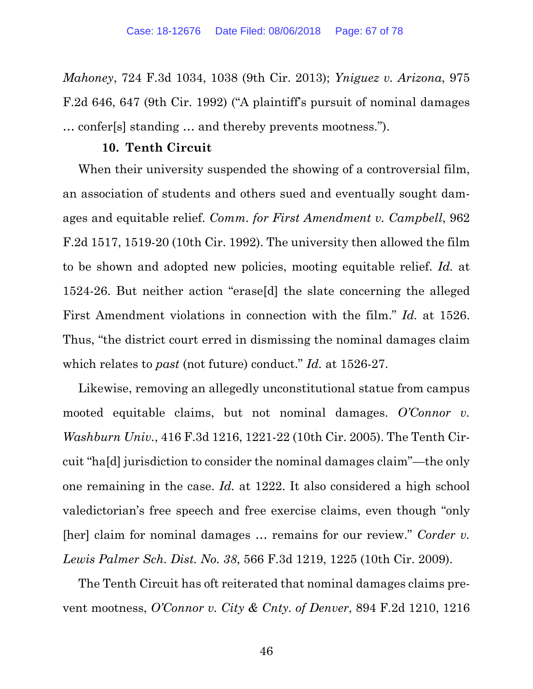*Mahoney*, 724 F.3d 1034, 1038 (9th Cir. 2013); *Yniguez v. Arizona*, 975 F.2d 646, 647 (9th Cir. 1992) ("A plaintiff's pursuit of nominal damages … confer[s] standing … and thereby prevents mootness.").

## **10. Tenth Circuit**

When their university suspended the showing of a controversial film, an association of students and others sued and eventually sought damages and equitable relief. *Comm. for First Amendment v. Campbell*, 962 F.2d 1517, 1519-20 (10th Cir. 1992). The university then allowed the film to be shown and adopted new policies, mooting equitable relief. *Id.* at 1524-26. But neither action "erase[d] the slate concerning the alleged First Amendment violations in connection with the film." *Id.* at 1526. Thus, "the district court erred in dismissing the nominal damages claim which relates to *past* (not future) conduct." *Id.* at 1526-27.

Likewise, removing an allegedly unconstitutional statue from campus mooted equitable claims, but not nominal damages. *O'Connor v*. *Washburn Univ.*, 416 F.3d 1216, 1221-22 (10th Cir. 2005). The Tenth Circuit "ha[d] jurisdiction to consider the nominal damages claim"—the only one remaining in the case. *Id.* at 1222. It also considered a high school valedictorian's free speech and free exercise claims, even though "only [her] claim for nominal damages … remains for our review." *Corder v. Lewis Palmer Sch. Dist. No. 38*, 566 F.3d 1219, 1225 (10th Cir. 2009).

The Tenth Circuit has oft reiterated that nominal damages claims prevent mootness, *O'Connor v. City & Cnty. of Denver*, 894 F.2d 1210, 1216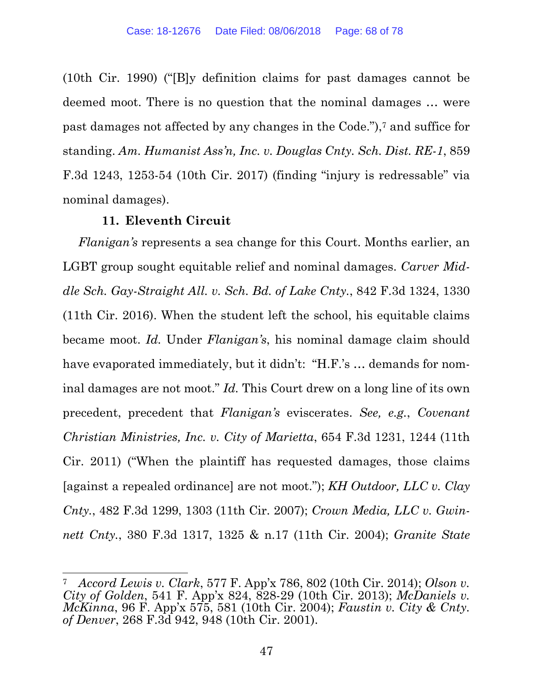(10th Cir. 1990) ("[B]y definition claims for past damages cannot be deemed moot. There is no question that the nominal damages … were past damages not affected by any changes in the Code."),7 and suffice for standing. *Am. Humanist Ass'n, Inc. v. Douglas Cnty. Sch. Dist. RE-1*, 859 F.3d 1243, 1253-54 (10th Cir. 2017) (finding "injury is redressable" via nominal damages).

## **11. Eleventh Circuit**

*Flanigan's* represents a sea change for this Court. Months earlier, an LGBT group sought equitable relief and nominal damages. *Carver Middle Sch. Gay-Straight All. v. Sch. Bd. of Lake Cnty.*, 842 F.3d 1324, 1330 (11th Cir. 2016). When the student left the school, his equitable claims became moot. *Id.* Under *Flanigan's*, his nominal damage claim should have evaporated immediately, but it didn't: "H.F.'s … demands for nominal damages are not moot." *Id.* This Court drew on a long line of its own precedent, precedent that *Flanigan's* eviscerates. *See, e.g.*, *Covenant Christian Ministries, Inc. v. City of Marietta*, 654 F.3d 1231, 1244 (11th Cir. 2011) ("When the plaintiff has requested damages, those claims [against a repealed ordinance] are not moot."); *KH Outdoor, LLC v. Clay Cnty.*, 482 F.3d 1299, 1303 (11th Cir. 2007); *Crown Media, LLC v. Gwinnett Cnty.*, 380 F.3d 1317, 1325 & n.17 (11th Cir. 2004); *Granite State* 

 7 *Accord Lewis v. Clark*, 577 F. App'x 786, 802 (10th Cir. 2014); *Olson v. City of Golden*, 541 F. App'x 824, 828-29 (10th Cir. 2013); *McDaniels v. McKinna*, 96 F. App'x 575, 581 (10th Cir. 2004); *Faustin v. City & Cnty. of Denver*, 268 F.3d 942, 948 (10th Cir. 2001).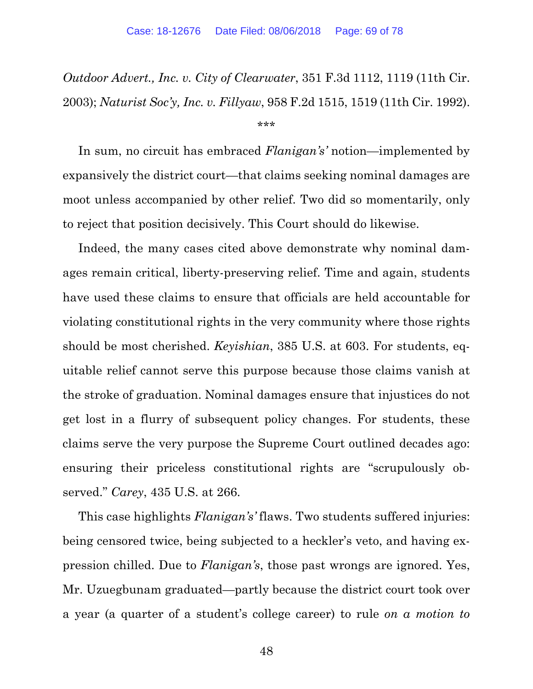*Outdoor Advert., Inc. v. City of Clearwater*, 351 F.3d 1112, 1119 (11th Cir. 2003); *Naturist Soc'y, Inc. v. Fillyaw*, 958 F.2d 1515, 1519 (11th Cir. 1992).

\*\*\*

In sum, no circuit has embraced *Flanigan's'* notion—implemented by expansively the district court—that claims seeking nominal damages are moot unless accompanied by other relief. Two did so momentarily, only to reject that position decisively. This Court should do likewise.

Indeed, the many cases cited above demonstrate why nominal damages remain critical, liberty-preserving relief. Time and again, students have used these claims to ensure that officials are held accountable for violating constitutional rights in the very community where those rights should be most cherished. *Keyishian*, 385 U.S. at 603. For students, equitable relief cannot serve this purpose because those claims vanish at the stroke of graduation. Nominal damages ensure that injustices do not get lost in a flurry of subsequent policy changes. For students, these claims serve the very purpose the Supreme Court outlined decades ago: ensuring their priceless constitutional rights are "scrupulously observed." *Carey*, 435 U.S. at 266.

This case highlights *Flanigan's'* flaws. Two students suffered injuries: being censored twice, being subjected to a heckler's veto, and having expression chilled. Due to *Flanigan's*, those past wrongs are ignored. Yes, Mr. Uzuegbunam graduated—partly because the district court took over a year (a quarter of a student's college career) to rule *on a motion to*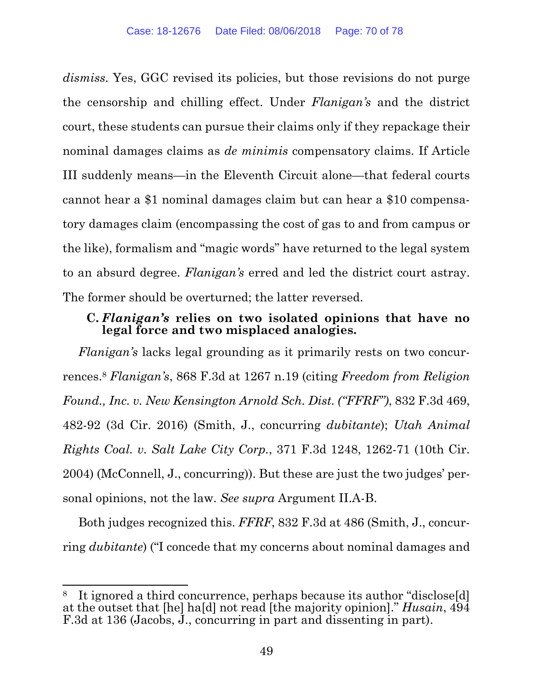*dismiss*. Yes, GGC revised its policies, but those revisions do not purge the censorship and chilling effect. Under *Flanigan's* and the district court, these students can pursue their claims only if they repackage their nominal damages claims as *de minimis* compensatory claims. If Article III suddenly means—in the Eleventh Circuit alone—that federal courts cannot hear a \$1 nominal damages claim but can hear a \$10 compensatory damages claim (encompassing the cost of gas to and from campus or the like), formalism and "magic words" have returned to the legal system to an absurd degree. *Flanigan's* erred and led the district court astray. The former should be overturned; the latter reversed.

# **C.** *Flanigan's* **relies on two isolated opinions that have no legal force and two misplaced analogies.**

*Flanigan's* lacks legal grounding as it primarily rests on two concurrences.8 *Flanigan's*, 868 F.3d at 1267 n.19 (citing *Freedom from Religion Found., Inc. v. New Kensington Arnold Sch. Dist. ("FFRF")*, 832 F.3d 469, 482-92 (3d Cir. 2016) (Smith, J., concurring *dubitante*); *Utah Animal Rights Coal. v. Salt Lake City Corp.*, 371 F.3d 1248, 1262-71 (10th Cir. 2004) (McConnell, J., concurring)). But these are just the two judges' personal opinions, not the law. *See supra* Argument II.A-B.

Both judges recognized this. *FFRF*, 832 F.3d at 486 (Smith, J., concurring *dubitante*) ("I concede that my concerns about nominal damages and

 8 It ignored a third concurrence, perhaps because its author "disclose[d] at the outset that [he] ha[d] not read [the majority opinion]." *Husain*, 494 F.3d at 136 (Jacobs, J., concurring in part and dissenting in part).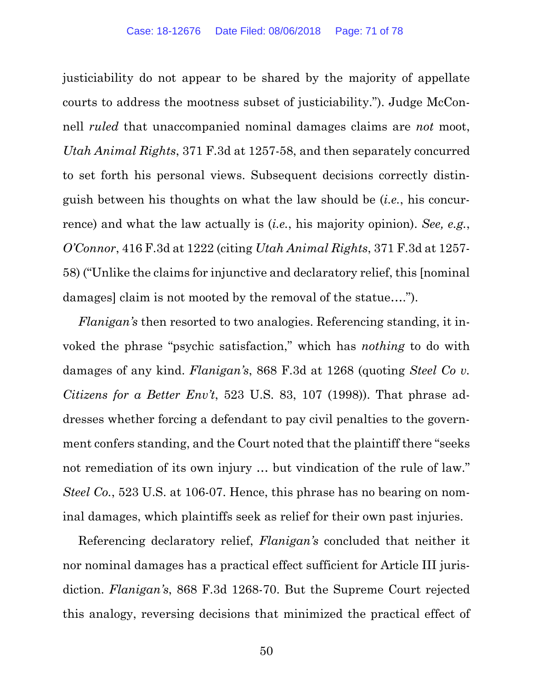justiciability do not appear to be shared by the majority of appellate courts to address the mootness subset of justiciability."). Judge McConnell *ruled* that unaccompanied nominal damages claims are *not* moot, *Utah Animal Rights*, 371 F.3d at 1257-58, and then separately concurred to set forth his personal views. Subsequent decisions correctly distinguish between his thoughts on what the law should be (*i.e.*, his concurrence) and what the law actually is (*i.e.*, his majority opinion). *See, e.g.*, *O'Connor*, 416 F.3d at 1222 (citing *Utah Animal Rights*, 371 F.3d at 1257- 58) ("Unlike the claims for injunctive and declaratory relief, this [nominal damages] claim is not mooted by the removal of the statue….").

*Flanigan's* then resorted to two analogies. Referencing standing, it invoked the phrase "psychic satisfaction," which has *nothing* to do with damages of any kind. *Flanigan's*, 868 F.3d at 1268 (quoting *Steel Co v. Citizens for a Better Env't*, 523 U.S. 83, 107 (1998)). That phrase addresses whether forcing a defendant to pay civil penalties to the government confers standing, and the Court noted that the plaintiff there "seeks not remediation of its own injury … but vindication of the rule of law." *Steel Co.*, 523 U.S. at 106-07. Hence, this phrase has no bearing on nominal damages, which plaintiffs seek as relief for their own past injuries.

Referencing declaratory relief, *Flanigan's* concluded that neither it nor nominal damages has a practical effect sufficient for Article III jurisdiction. *Flanigan's*, 868 F.3d 1268-70. But the Supreme Court rejected this analogy, reversing decisions that minimized the practical effect of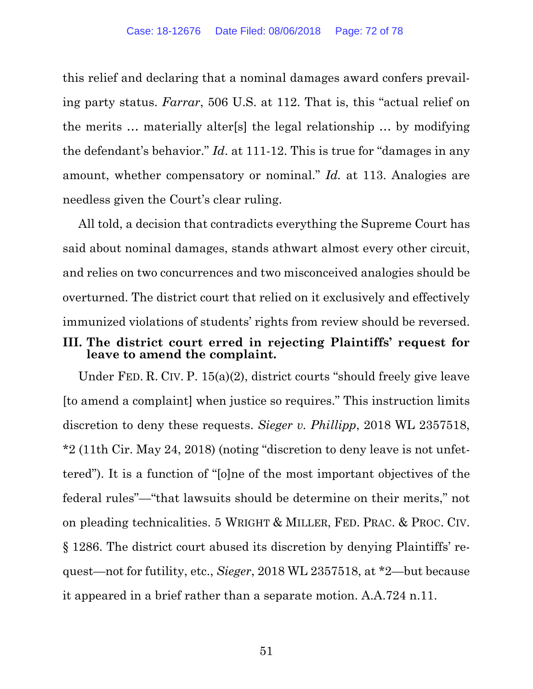this relief and declaring that a nominal damages award confers prevailing party status. *Farrar*, 506 U.S. at 112. That is, this "actual relief on the merits … materially alter[s] the legal relationship … by modifying the defendant's behavior." *Id*. at 111-12. This is true for "damages in any amount, whether compensatory or nominal." *Id.* at 113. Analogies are needless given the Court's clear ruling.

All told, a decision that contradicts everything the Supreme Court has said about nominal damages, stands athwart almost every other circuit, and relies on two concurrences and two misconceived analogies should be overturned. The district court that relied on it exclusively and effectively immunized violations of students' rights from review should be reversed.

## **III. The district court erred in rejecting Plaintiffs' request for leave to amend the complaint.**

Under FED. R. CIV. P. 15(a)(2), district courts "should freely give leave [to amend a complaint] when justice so requires." This instruction limits discretion to deny these requests. *Sieger v. Phillipp*, 2018 WL 2357518, \*2 (11th Cir. May 24, 2018) (noting "discretion to deny leave is not unfettered"). It is a function of "[o]ne of the most important objectives of the federal rules"—"that lawsuits should be determine on their merits," not on pleading technicalities. 5 WRIGHT & MILLER, FED. PRAC. & PROC. CIV. § 1286. The district court abused its discretion by denying Plaintiffs' request—not for futility, etc., *Sieger*, 2018 WL 2357518, at \*2—but because it appeared in a brief rather than a separate motion. A.A.724 n.11.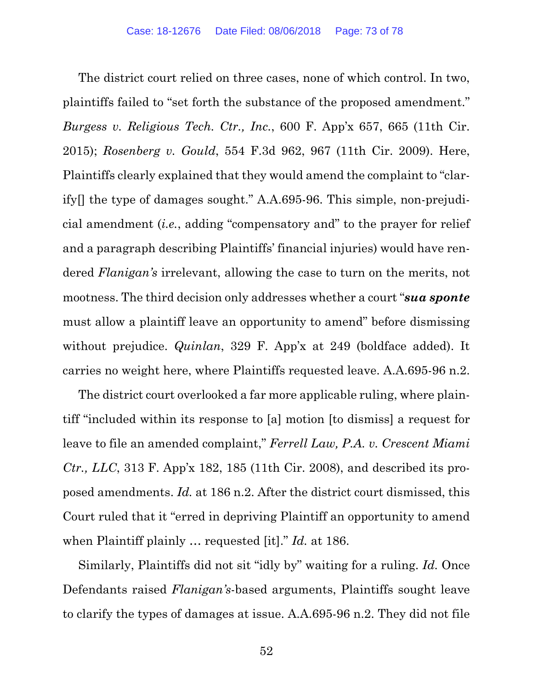The district court relied on three cases, none of which control. In two, plaintiffs failed to "set forth the substance of the proposed amendment." *Burgess v. Religious Tech. Ctr., Inc.*, 600 F. App'x 657, 665 (11th Cir. 2015); *Rosenberg v. Gould*, 554 F.3d 962, 967 (11th Cir. 2009). Here, Plaintiffs clearly explained that they would amend the complaint to "clarify[] the type of damages sought." A.A.695-96. This simple, non-prejudicial amendment (*i.e.*, adding "compensatory and" to the prayer for relief and a paragraph describing Plaintiffs' financial injuries) would have rendered *Flanigan's* irrelevant, allowing the case to turn on the merits, not mootness. The third decision only addresses whether a court "*sua sponte* must allow a plaintiff leave an opportunity to amend" before dismissing without prejudice. *Quinlan*, 329 F. App'x at 249 (boldface added). It carries no weight here, where Plaintiffs requested leave. A.A.695-96 n.2.

The district court overlooked a far more applicable ruling, where plaintiff "included within its response to [a] motion [to dismiss] a request for leave to file an amended complaint," *Ferrell Law, P.A. v. Crescent Miami Ctr., LLC*, 313 F. App'x 182, 185 (11th Cir. 2008), and described its proposed amendments. *Id.* at 186 n.2. After the district court dismissed, this Court ruled that it "erred in depriving Plaintiff an opportunity to amend when Plaintiff plainly … requested [it]." *Id.* at 186.

Similarly, Plaintiffs did not sit "idly by" waiting for a ruling. *Id.* Once Defendants raised *Flanigan's*-based arguments, Plaintiffs sought leave to clarify the types of damages at issue. A.A.695-96 n.2. They did not file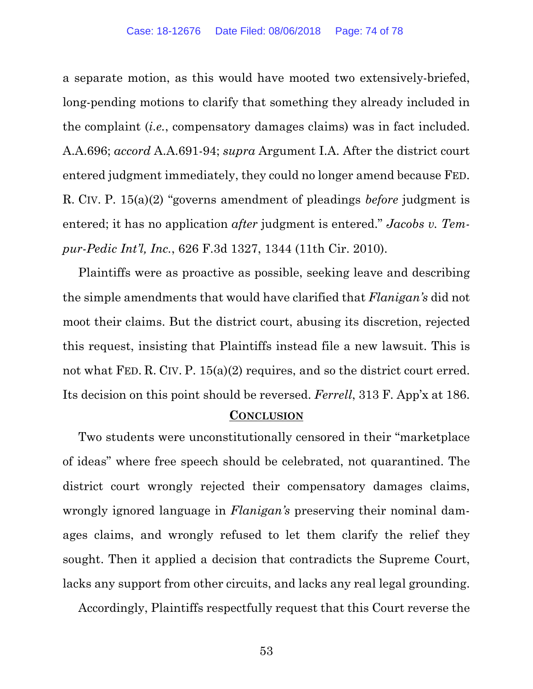a separate motion, as this would have mooted two extensively-briefed, long-pending motions to clarify that something they already included in the complaint (*i.e.*, compensatory damages claims) was in fact included. A.A.696; *accord* A.A.691-94; *supra* Argument I.A. After the district court entered judgment immediately, they could no longer amend because FED. R. CIV. P. 15(a)(2) "governs amendment of pleadings *before* judgment is entered; it has no application *after* judgment is entered." *Jacobs v. Tempur-Pedic Int'l, Inc.*, 626 F.3d 1327, 1344 (11th Cir. 2010).

Plaintiffs were as proactive as possible, seeking leave and describing the simple amendments that would have clarified that *Flanigan's* did not moot their claims. But the district court, abusing its discretion, rejected this request, insisting that Plaintiffs instead file a new lawsuit. This is not what FED. R. CIV. P. 15(a)(2) requires, and so the district court erred. Its decision on this point should be reversed. *Ferrell*, 313 F. App'x at 186.

## **CONCLUSION**

Two students were unconstitutionally censored in their "marketplace of ideas" where free speech should be celebrated, not quarantined. The district court wrongly rejected their compensatory damages claims, wrongly ignored language in *Flanigan's* preserving their nominal damages claims, and wrongly refused to let them clarify the relief they sought. Then it applied a decision that contradicts the Supreme Court, lacks any support from other circuits, and lacks any real legal grounding.

Accordingly, Plaintiffs respectfully request that this Court reverse the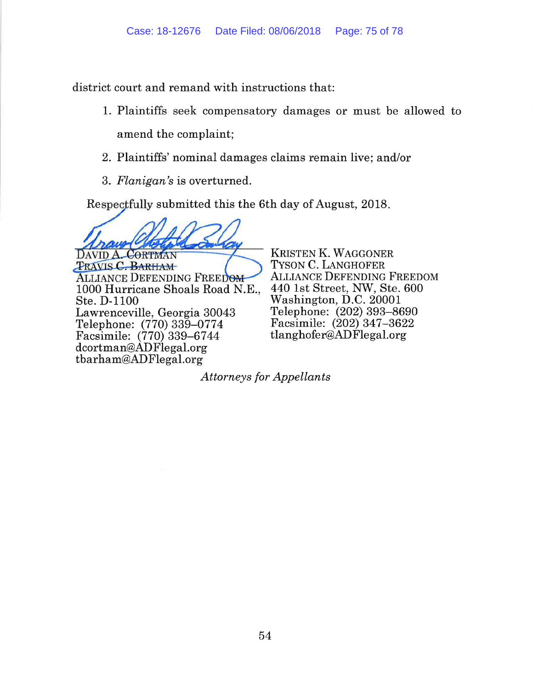district court and remand with instructions that:

- 1. Plaintiffs seek compensatory damages or must be allowed to amend the complaint;
- 2. Plaintiffs' nominal damages claims remain live; and/or
- 3. Flanigan's is overturned.

Respectfully submitted this the 6th day of August, 2018.

DAVID A. CORTMAN **TRAVIS C. BARHAM ALLIANCE DEFENDING FREEDOM** 1000 Hurricane Shoals Road N.E.. Ste. D-1100 Lawrenceville, Georgia 30043 Telephone: (770) 339–0774 Facsimile: (770) 339-6744 dcortman@ADFlegal.org tbarham@ADFlegal.org

KRISTEN K. WAGGONER TYSON C. LANGHOFER **ALLIANCE DEFENDING FREEDOM** 440 1st Street, NW, Ste. 600 Washington, D.C. 20001 Telephone: (202) 393-8690 Facsimile: (202) 347-3622 tlanghofer@ADFlegal.org

**Attorneys for Appellants**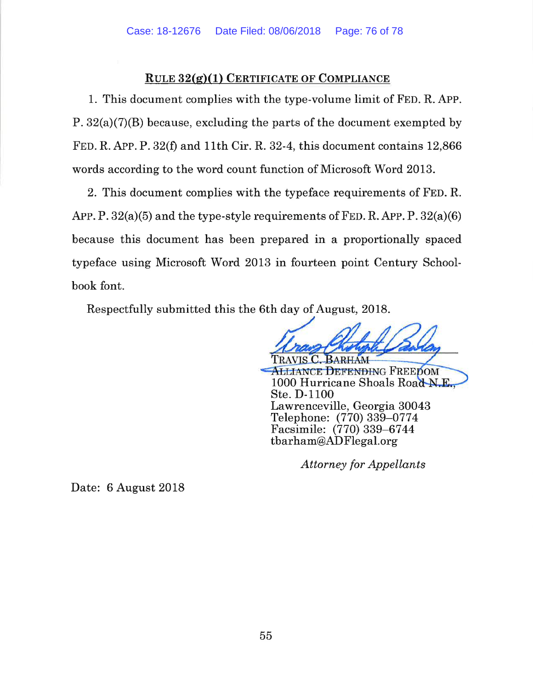## RULE  $32(g)(1)$  CERTIFICATE OF COMPLIANCE

1. This document complies with the type-volume limit of FED. R. APP. P.  $32(a)(7)(B)$  because, excluding the parts of the document exempted by FED. R. APP. P. 32(f) and 11th Cir. R. 32-4, this document contains 12,866 words according to the word count function of Microsoft Word 2013.

2. This document complies with the typeface requirements of FED. R. APP. P.  $32(a)(5)$  and the type-style requirements of FED. R. APP. P.  $32(a)(6)$ because this document has been prepared in a proportionally spaced typeface using Microsoft Word 2013 in fourteen point Century Schoolbook font.

Respectfully submitted this the 6th day of August, 2018.

**ALLIANCE DEFENDING FREEDOM** 1000 Hurricane Shoals Road N.E. Ste. D-1100 Lawrenceville, Georgia 30043 Telephone: (770) 339-0774 Facsimile: (770) 339-6744 tbarham@ADFlegal.org

**Attorney for Appellants** 

Date: 6 August 2018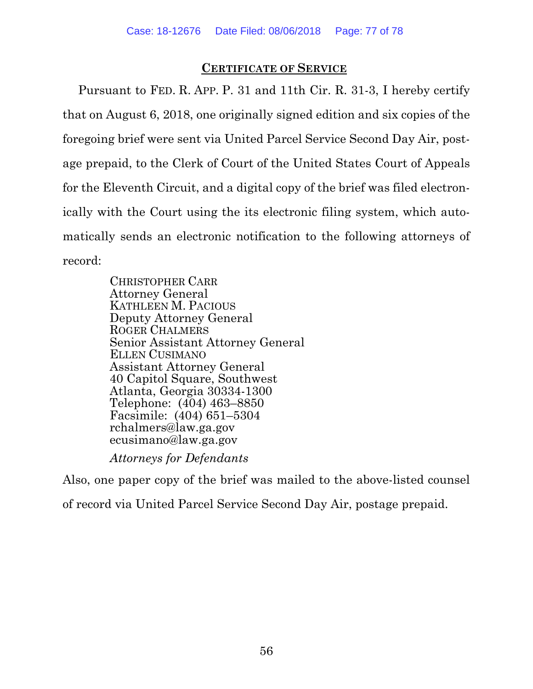## **CERTIFICATE OF SERVICE**

Pursuant to FED. R. APP. P. 31 and 11th Cir. R. 31-3, I hereby certify that on August 6, 2018, one originally signed edition and six copies of the foregoing brief were sent via United Parcel Service Second Day Air, postage prepaid, to the Clerk of Court of the United States Court of Appeals for the Eleventh Circuit, and a digital copy of the brief was filed electronically with the Court using the its electronic filing system, which automatically sends an electronic notification to the following attorneys of record:

> CHRISTOPHER CARR Attorney General KATHLEEN M. PACIOUS Deputy Attorney General ROGER CHALMERS Senior Assistant Attorney General ELLEN CUSIMANO Assistant Attorney General 40 Capitol Square, Southwest Atlanta, Georgia 30334-1300 Telephone: (404) 463–8850 Facsimile: (404) 651–5304 rchalmers@law.ga.gov ecusimano@law.ga.gov

*Attorneys for Defendants* 

Also, one paper copy of the brief was mailed to the above-listed counsel of record via United Parcel Service Second Day Air, postage prepaid.